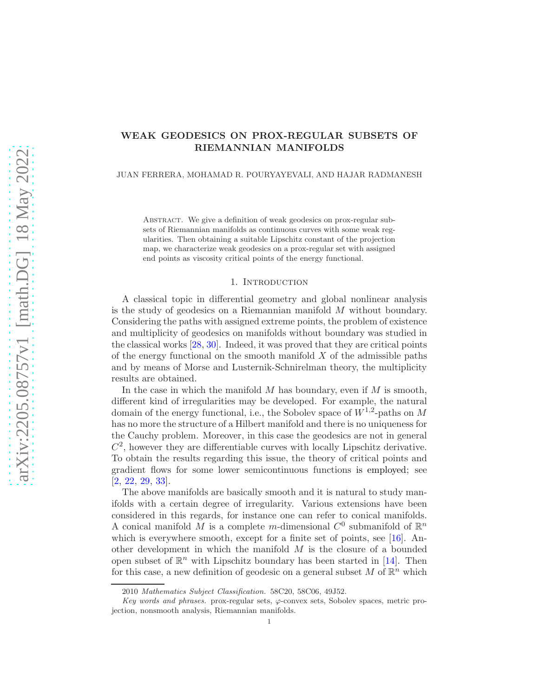# WEAK GEODESICS ON PROX-REGULAR SUBSETS OF RIEMANNIAN MANIFOLDS

JUAN FERRERA, MOHAMAD R. POURYAYEVALI, AND HAJAR RADMANESH

Abstract. We give a definition of weak geodesics on prox-regular subsets of Riemannian manifolds as continuous curves with some weak regularities. Then obtaining a suitable Lipschitz constant of the projection map, we characterize weak geodesics on a prox-regular set with assigned end points as viscosity critical points of the energy functional.

### 1. INTRODUCTION

A classical topic in differential geometry and global nonlinear analysis is the study of geodesics on a Riemannian manifold M without boundary. Considering the paths with assigned extreme points, the problem of existence and multiplicity of geodesics on manifolds without boundary was studied in the classical works [\[28,](#page-21-0) [30\]](#page-21-1). Indeed, it was proved that they are critical points of the energy functional on the smooth manifold  $X$  of the admissible paths and by means of Morse and Lusternik-Schnirelman theory, the multiplicity results are obtained.

In the case in which the manifold  $M$  has boundary, even if  $M$  is smooth, different kind of irregularities may be developed. For example, the natural domain of the energy functional, i.e., the Sobolev space of  $W^{1,2}$ -paths on M has no more the structure of a Hilbert manifold and there is no uniqueness for the Cauchy problem. Moreover, in this case the geodesics are not in general  $C<sup>2</sup>$ , however they are differentiable curves with locally Lipschitz derivative. To obtain the results regarding this issue, the theory of critical points and gradient flows for some lower semicontinuous functions is employed; see [\[2,](#page-20-0) [22,](#page-21-2) [29,](#page-21-3) [33\]](#page-21-4).

The above manifolds are basically smooth and it is natural to study manifolds with a certain degree of irregularity. Various extensions have been considered in this regards, for instance one can refer to conical manifolds. A conical manifold M is a complete m-dimensional  $C^0$  submanifold of  $\mathbb{R}^n$ which is everywhere smooth, except for a finite set of points, see [\[16\]](#page-20-1). Another development in which the manifold  $M$  is the closure of a bounded open subset of  $\mathbb{R}^n$  with Lipschitz boundary has been started in [\[14\]](#page-20-2). Then for this case, a new definition of geodesic on a general subset M of  $\mathbb{R}^n$  which

<sup>2010</sup> Mathematics Subject Classification. 58C20, 58C06, 49J52.

Key words and phrases. prox-regular sets,  $\varphi$ -convex sets, Sobolev spaces, metric projection, nonsmooth analysis, Riemannian manifolds.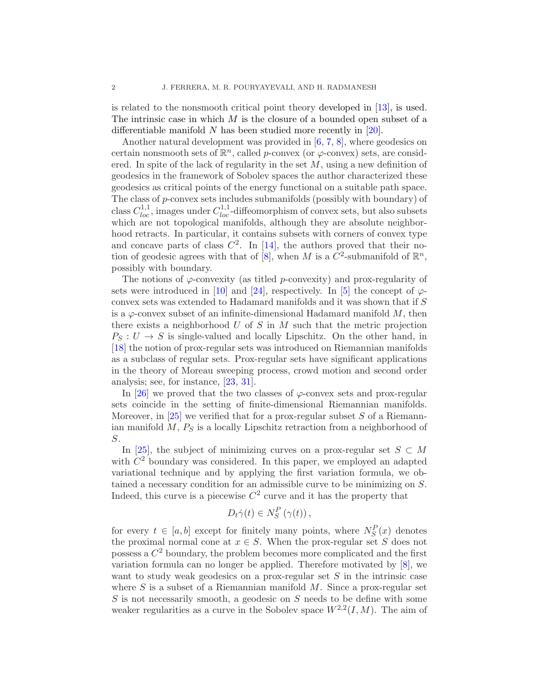is related to the nonsmooth critical point theory developed in [\[13\]](#page-20-3), is used. The intrinsic case in which  $M$  is the closure of a bounded open subset of a differentiable manifold  $N$  has been studied more recently in [\[20\]](#page-20-4).

Another natural development was provided in [\[6,](#page-20-5) [7,](#page-20-6) [8\]](#page-20-7), where geodesics on certain nonsmooth sets of  $\mathbb{R}^n$ , called p-convex (or  $\varphi$ -convex) sets, are considered. In spite of the lack of regularity in the set  $M$ , using a new definition of geodesics in the framework of Sobolev spaces the author characterized these geodesics as critical points of the energy functional on a suitable path space. The class of p-convex sets includes submanifolds (possibly with boundary) of class  $C_{loc}^{1,1}$ , images under  $C_{loc}^{1,1}$ -diffeomorphism of convex sets, but also subsets which are not topological manifolds, although they are absolute neighborhood retracts. In particular, it contains subsets with corners of convex type and concave parts of class  $C^2$ . In [\[14\]](#page-20-2), the authors proved that their no-tion of geodesic agrees with that of [\[8\]](#page-20-7), when M is a  $\overline{C}^2$ -submanifold of  $\mathbb{R}^n$ , possibly with boundary.

The notions of  $\varphi$ -convexity (as titled p-convexity) and prox-regularity of sets were introduced in [\[10\]](#page-20-8) and [\[24\]](#page-21-5), respectively. In [\[5\]](#page-20-9) the concept of  $\varphi$ convex sets was extended to Hadamard manifolds and it was shown that if S is a  $\varphi$ -convex subset of an infinite-dimensional Hadamard manifold  $M$ , then there exists a neighborhood  $U$  of  $S$  in  $M$  such that the metric projection  $P_S: U \to S$  is single-valued and locally Lipschitz. On the other hand, in [\[18\]](#page-20-10) the notion of prox-regular sets was introduced on Riemannian manifolds as a subclass of regular sets. Prox-regular sets have significant applications in the theory of Moreau sweeping process, crowd motion and second order analysis; see, for instance, [\[23,](#page-21-6) [31\]](#page-21-7).

In [\[26\]](#page-21-8) we proved that the two classes of  $\varphi$ -convex sets and prox-regular sets coincide in the setting of finite-dimensional Riemannian manifolds. Moreover, in [\[25\]](#page-21-9) we verified that for a prox-regular subset  $S$  of a Riemannian manifold  $M$ ,  $P<sub>S</sub>$  is a locally Lipschitz retraction from a neighborhood of S.

In [\[25\]](#page-21-9), the subject of minimizing curves on a prox-regular set  $S \subset M$ with  $C<sup>2</sup>$  boundary was considered. In this paper, we employed an adapted variational technique and by applying the first variation formula, we obtained a necessary condition for an admissible curve to be minimizing on S. Indeed, this curve is a piecewise  $C^2$  curve and it has the property that

$$
D_t\dot{\gamma}(t)\in N_S^P(\gamma(t)),
$$

for every  $t \in [a, b]$  except for finitely many points, where  $N_S^P(x)$  denotes the proximal normal cone at  $x \in S$ . When the prox-regular set S does not possess a  $C^2$  boundary, the problem becomes more complicated and the first variation formula can no longer be applied. Therefore motivated by [\[8\]](#page-20-7), we want to study weak geodesics on a prox-regular set  $S$  in the intrinsic case where  $S$  is a subset of a Riemannian manifold  $M$ . Since a prox-regular set  $S$  is not necessarily smooth, a geodesic on  $S$  needs to be define with some weaker regularities as a curve in the Sobolev space  $W^{2,2}(I,M)$ . The aim of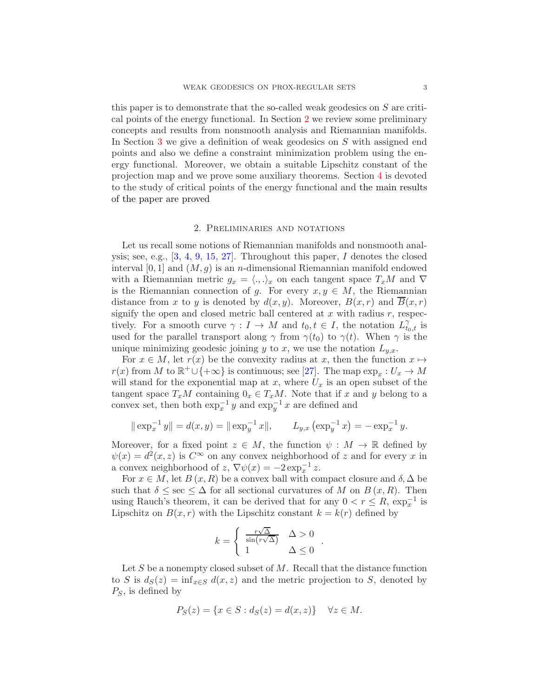this paper is to demonstrate that the so-called weak geodesics on S are critical points of the energy functional. In Section [2](#page-2-0) we review some preliminary concepts and results from nonsmooth analysis and Riemannian manifolds. In Section [3](#page-4-0) we give a definition of weak geodesics on S with assigned end points and also we define a constraint minimization problem using the energy functional. Moreover, we obtain a suitable Lipschitz constant of the projection map and we prove some auxiliary theorems. Section [4](#page-15-0) is devoted to the study of critical points of the energy functional and the main results of the paper are proved

## 2. Preliminaries and notations

<span id="page-2-0"></span>Let us recall some notions of Riemannian manifolds and nonsmooth analysis; see, e.g.,  $[3, 4, 9, 15, 27]$  $[3, 4, 9, 15, 27]$  $[3, 4, 9, 15, 27]$  $[3, 4, 9, 15, 27]$ . Throughout this paper, I denotes the closed interval  $[0, 1]$  and  $(M, g)$  is an *n*-dimensional Riemannian manifold endowed with a Riemannian metric  $g_x = \langle ., . \rangle_x$  on each tangent space  $T_xM$  and  $\nabla$ is the Riemannian connection of g. For every  $x, y \in M$ , the Riemannian distance from x to y is denoted by  $d(x, y)$ . Moreover,  $B(x, r)$  and  $\overline{B}(x, r)$ signify the open and closed metric ball centered at  $x$  with radius  $r$ , respectively. For a smooth curve  $\gamma: I \to M$  and  $t_0, t \in I$ , the notation  $L_{t_0,t}^{\gamma}$  is used for the parallel transport along  $\gamma$  from  $\gamma(t_0)$  to  $\gamma(t)$ . When  $\gamma$  is the unique minimizing geodesic joining y to x, we use the notation  $L_{y.x}$ .

For  $x \in M$ , let  $r(x)$  be the convexity radius at x, then the function  $x \mapsto$  $r(x)$  from M to  $\mathbb{R}^+\cup\{+\infty\}$  is continuous; see [\[27\]](#page-21-10). The map  $\exp_x: U_x \to M$ will stand for the exponential map at x, where  $U_x$  is an open subset of the tangent space  $T_xM$  containing  $0_x \in T_xM$ . Note that if x and y belong to a convex set, then both  $\exp_x^{-1} y$  and  $\exp_y^{-1} x$  are defined and

$$
\|\exp_x^{-1} y\| = d(x, y) = \|\exp_y^{-1} x\|,
$$
  $L_{y,x} (\exp_y^{-1} x) = -\exp_x^{-1} y.$ 

Moreover, for a fixed point  $z \in M$ , the function  $\psi : M \to \mathbb{R}$  defined by  $\psi(x) = d^2(x, z)$  is  $C^{\infty}$  on any convex neighborhood of z and for every x in a convex neighborhood of z,  $\nabla \psi(x) = -2 \exp_x^{-1} z$ .

For  $x \in M$ , let  $B(x, R)$  be a convex ball with compact closure and  $\delta, \Delta$  be such that  $\delta \leq \sec \leq \Delta$  for all sectional curvatures of M on  $B(x,R)$ . Then using Rauch's theorem, it can be derived that for any  $0 < r \leq R$ ,  $\exp_x^{-1}$  is Lipschitz on  $B(x, r)$  with the Lipschitz constant  $k = k(r)$  defined by

$$
k = \begin{cases} \frac{r\sqrt{\Delta}}{\sin(r\sqrt{\Delta})} & \Delta > 0\\ 1 & \Delta \le 0 \end{cases}
$$

.

Let S be a nonempty closed subset of  $M$ . Recall that the distance function to S is  $d_S(z) = \inf_{x \in S} d(x, z)$  and the metric projection to S, denoted by  $P_S$ , is defined by

$$
P_S(z) = \{x \in S : d_S(z) = d(x, z)\} \quad \forall z \in M.
$$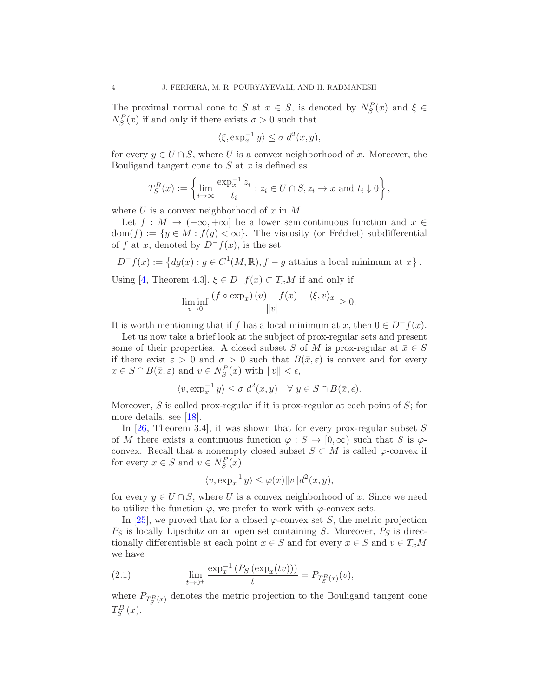The proximal normal cone to S at  $x \in S$ , is denoted by  $N_S^P(x)$  and  $\xi \in S$ .  $N_S^P(x)$  if and only if there exists  $\sigma > 0$  such that

$$
\langle \xi, \exp_x^{-1} y \rangle \le \sigma \, d^2(x, y),
$$

for every  $y \in U \cap S$ , where U is a convex neighborhood of x. Moreover, the Bouligand tangent cone to  $S$  at  $x$  is defined as

$$
T_S^B(x) := \left\{ \lim_{i \to \infty} \frac{\exp_x^{-1} z_i}{t_i} : z_i \in U \cap S, z_i \to x \text{ and } t_i \downarrow 0 \right\},\
$$

where U is a convex neighborhood of  $x$  in  $M$ .

Let  $f : M \to (-\infty, +\infty]$  be a lower semicontinuous function and  $x \in$  $dom(f) := \{y \in M : f(y) < \infty\}.$  The viscosity (or Fréchet) subdifferential of f at x, denoted by  $D^-f(x)$ , is the set

$$
D^-f(x) := \left\{ dg(x) : g \in C^1(M, \mathbb{R}), f - g \text{ attains a local minimum at } x \right\}.
$$

Using [\[4,](#page-20-12) Theorem 4.3],  $\xi \in D^-f(x) \subset T_xM$  if and only if

$$
\liminf_{v \to 0} \frac{\left(f \circ \exp_x\right)(v) - f(x) - \langle \xi, v \rangle_x}{\|v\|} \ge 0.
$$

It is worth mentioning that if f has a local minimum at x, then  $0 \in D^-f(x)$ .

Let us now take a brief look at the subject of prox-regular sets and present some of their properties. A closed subset S of M is prox-regular at  $\bar{x} \in S$ if there exist  $\varepsilon > 0$  and  $\sigma > 0$  such that  $B(\bar{x}, \varepsilon)$  is convex and for every  $x \in S \cap B(\bar{x}, \varepsilon)$  and  $v \in N_S^P(x)$  with  $||v|| < \epsilon$ ,

$$
\langle v, \exp_x^{-1} y \rangle \le \sigma \ d^2(x, y) \quad \forall \ y \in S \cap B(\bar{x}, \epsilon).
$$

Moreover,  $S$  is called prox-regular if it is prox-regular at each point of  $S$ ; for more details, see [\[18\]](#page-20-10).

In  $[26,$  Theorem 3.4, it was shown that for every prox-regular subset S of M there exists a continuous function  $\varphi : S \to [0,\infty)$  such that S is  $\varphi$ convex. Recall that a nonempty closed subset  $S \subset M$  is called  $\varphi$ -convex if for every  $x \in S$  and  $v \in N_S^P(x)$ 

$$
\langle v, \exp_x^{-1} y \rangle \le \varphi(x) \|v\| d^2(x, y),
$$

for every  $y \in U \cap S$ , where U is a convex neighborhood of x. Since we need to utilize the function  $\varphi$ , we prefer to work with  $\varphi$ -convex sets.

In [\[25\]](#page-21-9), we proved that for a closed  $\varphi$ -convex set S, the metric projection  $P<sub>S</sub>$  is locally Lipschitz on an open set containing S. Moreover,  $P<sub>S</sub>$  is directionally differentiable at each point  $x \in S$  and for every  $x \in S$  and  $v \in T_xM$ we have

(2.1) 
$$
\lim_{t \to 0^+} \frac{\exp_x^{-1} (P_S(\exp_x(tv)))}{t} = P_{T_S^B(x)}(v),
$$

where  $P_{T_S^B(x)}$  denotes the metric projection to the Bouligand tangent cone  $T_S^B(x)$ .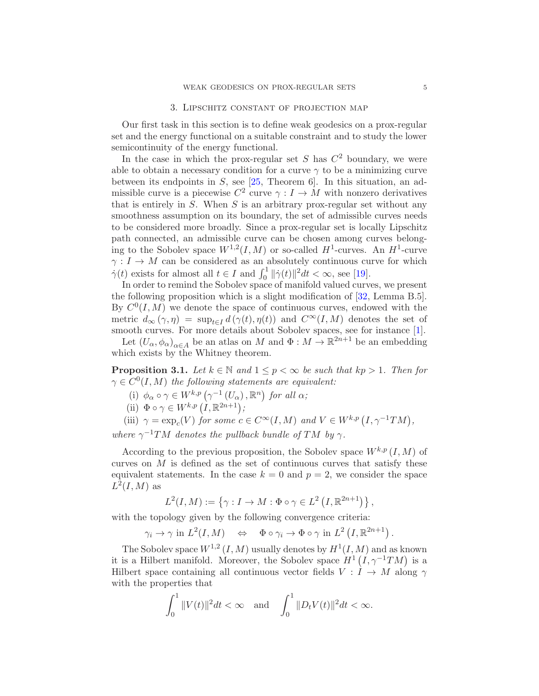### 3. Lipschitz constant of projection map

<span id="page-4-0"></span>Our first task in this section is to define weak geodesics on a prox-regular set and the energy functional on a suitable constraint and to study the lower semicontinuity of the energy functional.

In the case in which the prox-regular set S has  $C<sup>2</sup>$  boundary, we were able to obtain a necessary condition for a curve  $\gamma$  to be a minimizing curve between its endpoints in  $S$ , see  $[25,$  Theorem 6. In this situation, an admissible curve is a piecewise  $C^2$  curve  $\gamma: I \to M$  with nonzero derivatives that is entirely in  $S$ . When  $S$  is an arbitrary prox-regular set without any smoothness assumption on its boundary, the set of admissible curves needs to be considered more broadly. Since a prox-regular set is locally Lipschitz path connected, an admissible curve can be chosen among curves belonging to the Sobolev space  $W^{1,2}(I,M)$  or so-called  $H^1$ -curves. An  $H^1$ -curve  $\gamma: I \to M$  can be considered as an absolutely continuous curve for which  $\dot{\gamma}(t)$  exists for almost all  $t \in I$  and  $\int_0^1 ||\dot{\gamma}(t)||^2 dt < \infty$ , see [\[19\]](#page-20-13).

In order to remind the Sobolev space of manifold valued curves, we present the following proposition which is a slight modification of [\[32,](#page-21-11) Lemma B.5]. By  $C^0(I, M)$  we denote the space of continuous curves, endowed with the metric  $d_{\infty}(\gamma, \eta) = \sup_{t \in I} d(\gamma(t), \eta(t))$  and  $C^{\infty}(I, M)$  denotes the set of smooth curves. For more details about Sobolev spaces, see for instance [\[1\]](#page-20-14).

Let  $(U_{\alpha}, \phi_{\alpha})_{\alpha \in A}$  be an atlas on M and  $\Phi : M \to \mathbb{R}^{2n+1}$  be an embedding which exists by the Whitney theorem.

<span id="page-4-1"></span>**Proposition 3.1.** *Let*  $k \in \mathbb{N}$  *and*  $1 \leq p < \infty$  *be such that*  $kp > 1$ *. Then for*  $\gamma \in C^0(I,M)$  the following statements are equivalent:

- (i)  $\phi_{\alpha} \circ \gamma \in W^{k,p}(\gamma^{-1}(U_{\alpha}), \mathbb{R}^n)$  for all  $\alpha$ ;
- (ii)  $\Phi \circ \gamma \in W^{k,p} (I, \mathbb{R}^{2n+1})$ ;

(iii)  $\gamma = \exp_c(V)$  *for some*  $c \in C^{\infty}(I, M)$  *and*  $V \in W^{k,p}(I, \gamma^{-1}TM)$ ,

*where*  $\gamma^{-1}TM$  *denotes the pullback bundle of* TM *by*  $\gamma$ *.* 

According to the previous proposition, the Sobolev space  $W^{k,p}(I, M)$  of curves on  $M$  is defined as the set of continuous curves that satisfy these equivalent statements. In the case  $k = 0$  and  $p = 2$ , we consider the space  $L^2(I, M)$  as

$$
L^{2}(I,M) := \left\{ \gamma : I \to M : \Phi \circ \gamma \in L^{2}\left( I, \mathbb{R}^{2n+1} \right) \right\},\
$$

with the topology given by the following convergence criteria:

$$
\gamma_i \to \gamma
$$
 in  $L^2(I, M)$   $\Leftrightarrow \Phi \circ \gamma_i \to \Phi \circ \gamma$  in  $L^2(I, \mathbb{R}^{2n+1})$ .

The Sobolev space  $W^{1,2}(I,M)$  usually denotes by  $H^1(I,M)$  and as known it is a Hilbert manifold. Moreover, the Sobolev space  $H^1(I, \gamma^{-1}TM)$  is a Hilbert space containing all continuous vector fields  $V : I \rightarrow M$  along  $\gamma$ with the properties that

$$
\int_0^1 \|V(t)\|^2 dt < \infty \quad \text{and} \quad \int_0^1 \|D_t V(t)\|^2 dt < \infty.
$$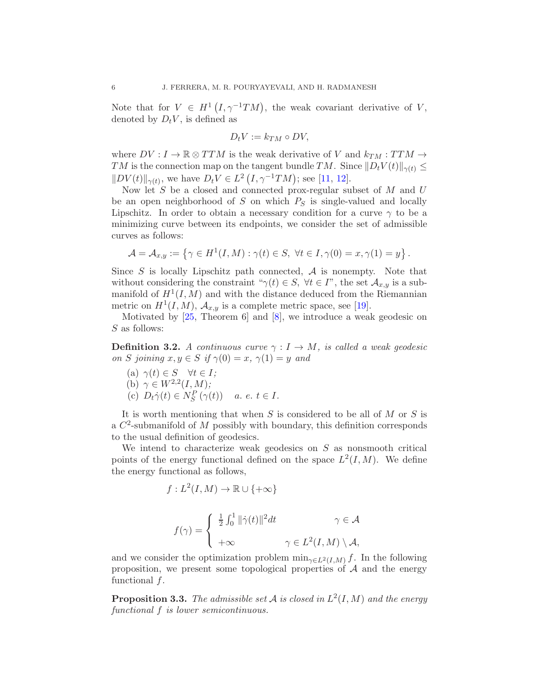Note that for  $V \in H^1(I, \gamma^{-1}TM)$ , the weak covariant derivative of V, denoted by  $D_t V$ , is defined as

$$
D_t V := k_{TM} \circ DV,
$$

where  $DV: I \to \mathbb{R} \otimes TTM$  is the weak derivative of V and  $k_{TM}: TTM \to$ TM is the connection map on the tangent bundle TM. Since  $||D_tV(t)||_{\gamma(t)} \leq$  $\|DV(t)\|_{\gamma(t)}$ , we have  $D_tV \in L^2(I, \gamma^{-1}TM)$ ; see [\[11,](#page-20-15) [12\]](#page-20-16).

Now let  $S$  be a closed and connected prox-regular subset of  $M$  and  $U$ be an open neighborhood of  $S$  on which  $P_S$  is single-valued and locally Lipschitz. In order to obtain a necessary condition for a curve  $\gamma$  to be a minimizing curve between its endpoints, we consider the set of admissible curves as follows:

$$
\mathcal{A} = \mathcal{A}_{x,y} := \left\{ \gamma \in H^1(I,M) : \gamma(t) \in S, \ \forall t \in I, \gamma(0) = x, \gamma(1) = y \right\}.
$$

Since  $S$  is locally Lipschitz path connected,  $A$  is nonempty. Note that without considering the constraint " $\gamma(t) \in S$ ,  $\forall t \in I$ ", the set  $\mathcal{A}_{x,y}$  is a submanifold of  $H^1(I, M)$  and with the distance deduced from the Riemannian metric on  $H^1(I, M)$ ,  $\mathcal{A}_{x,y}$  is a complete metric space, see [\[19\]](#page-20-13).

Motivated by  $[25,$  Theorem 6 and  $[8]$ , we introduce a weak geodesic on S as follows:

**Definition 3.2.** *A continuous curve*  $\gamma : I \to M$ *, is called a weak geodesic on S joining*  $x, y \in S$  *if*  $\gamma(0) = x$ ,  $\gamma(1) = y$  *and* 

(a) 
$$
\gamma(t) \in S \quad \forall t \in I;
$$
  
\n(b)  $\gamma \in W^{2,2}(I,M);$   
\n(c)  $D_t \dot{\gamma}(t) \in N_S^P(\gamma(t))$  a. e.  $t \in I.$ 

It is worth mentioning that when  $S$  is considered to be all of  $M$  or  $S$  is a  $C^2$ -submanifold of M possibly with boundary, this definition corresponds to the usual definition of geodesics.

We intend to characterize weak geodesics on  $S$  as nonsmooth critical points of the energy functional defined on the space  $L^2(I, M)$ . We define the energy functional as follows,

$$
f: L^{2}(I, M) \to \mathbb{R} \cup \{+\infty\}
$$

$$
f(\gamma) = \begin{cases} \frac{1}{2} \int_{0}^{1} ||\dot{\gamma}(t)||^{2} dt & \gamma \in \mathcal{A} \\ +\infty & \gamma \in L^{2}(I, M) \setminus \mathcal{A}, \end{cases}
$$

and we consider the optimization problem  $\min_{\gamma \in L^2(I,M)} f$ . In the following proposition, we present some topological properties of  $A$  and the energy functional  $f$ .

Proposition 3.3. *The admissible set* A *is closed in* L 2 (I, M) *and the energy functional* f *is lower semicontinuous.*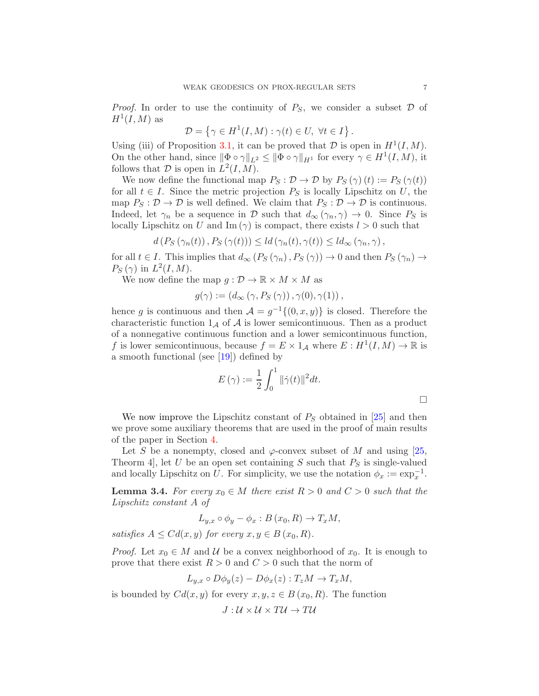*Proof.* In order to use the continuity of  $P_S$ , we consider a subset  $\mathcal D$  of  $H^1(I,M)$  as

$$
\mathcal{D} = \left\{ \gamma \in H^1(I, M) : \gamma(t) \in U, \ \forall t \in I \right\}.
$$

Using (iii) of Proposition [3.1,](#page-4-1) it can be proved that  $D$  is open in  $H^1(I, M)$ . On the other hand, since  $\|\Phi \circ \gamma\|_{L^2} \le \|\Phi \circ \gamma\|_{H^1}$  for every  $\gamma \in H^1(I, M)$ , it follows that  $\mathcal D$  is open in  $L^2(I, M)$ .

We now define the functional map  $P_S : \mathcal{D} \to \mathcal{D}$  by  $P_S(\gamma)(t) := P_S(\gamma(t))$ for all  $t \in I$ . Since the metric projection  $P_S$  is locally Lipschitz on U, the map  $P_S: \mathcal{D} \to \mathcal{D}$  is well defined. We claim that  $P_S: \mathcal{D} \to \mathcal{D}$  is continuous. Indeed, let  $\gamma_n$  be a sequence in D such that  $d_{\infty}(\gamma_n, \gamma) \to 0$ . Since  $P_S$  is locally Lipschitz on U and Im ( $\gamma$ ) is compact, there exists  $l > 0$  such that

$$
d(P_S(\gamma_n(t)), P_S(\gamma(t))) \leq ld(\gamma_n(t), \gamma(t)) \leq ld_\infty(\gamma_n, \gamma),
$$

for all  $t \in I$ . This implies that  $d_{\infty}(P_S(\gamma_n), P_S(\gamma)) \to 0$  and then  $P_S(\gamma_n) \to$  $P_S(\gamma)$  in  $L^2(I, M)$ .

We now define the map  $g: \mathcal{D} \to \mathbb{R} \times M \times M$  as

$$
g(\gamma) := (d_{\infty}(\gamma, P_S(\gamma)), \gamma(0), \gamma(1)),
$$

hence g is continuous and then  $\mathcal{A} = g^{-1}\{(0, x, y)\}\$ is closed. Therefore the characteristic function  $1_{\mathcal{A}}$  of  $\mathcal{A}$  is lower semicontinuous. Then as a product of a nonnegative continuous function and a lower semicontinuous function, f is lower semicontinuous, because  $f = E \times 1_A$  where  $E : H^1(I, M) \to \mathbb{R}$  is a smooth functional (see [\[19\]](#page-20-13)) defined by

$$
E(\gamma) := \frac{1}{2} \int_0^1 ||\dot{\gamma}(t)||^2 dt.
$$

We now improve the Lipschitz constant of  $P<sub>S</sub>$  obtained in [\[25\]](#page-21-9) and then we prove some auxiliary theorems that are used in the proof of main results of the paper in Section [4.](#page-15-0)

Let S be a nonempty, closed and  $\varphi$ -convex subset of M and using [\[25,](#page-21-9) Theorm 4, let U be an open set containing S such that  $P<sub>S</sub>$  is single-valued and locally Lipschitz on U. For simplicity, we use the notation  $\phi_x := \exp_x^{-1}$ .

<span id="page-6-0"></span>**Lemma 3.4.** For every  $x_0 \in M$  there exist  $R > 0$  and  $C > 0$  such that the *Lipschitz constant* A *of*

$$
L_{y,x} \circ \phi_y - \phi_x : B(x_0, R) \to T_xM,
$$

*satisfies*  $A \leq Cd(x, y)$  *for every*  $x, y \in B(x_0, R)$ *.* 

*Proof.* Let  $x_0 \in M$  and  $U$  be a convex neighborhood of  $x_0$ . It is enough to prove that there exist  $R > 0$  and  $C > 0$  such that the norm of

$$
L_{y,x} \circ D\phi_y(z) - D\phi_x(z) : T_zM \to T_xM,
$$

is bounded by  $Cd(x, y)$  for every  $x, y, z \in B(x_0, R)$ . The function

$$
J: \mathcal{U} \times \mathcal{U} \times T\mathcal{U} \rightarrow T\mathcal{U}
$$

 $\Box$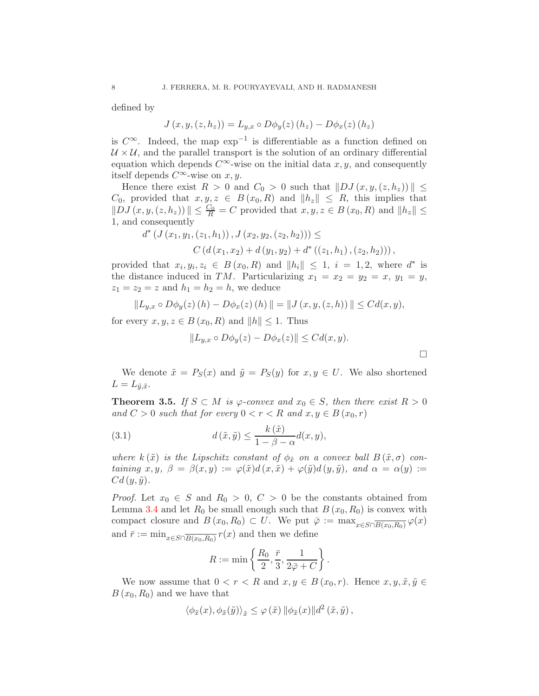defined by

$$
J(x, y, (z, h_z)) = L_{y,x} \circ D\phi_y(z) (h_z) - D\phi_x(z) (h_z)
$$

is  $C^{\infty}$ . Indeed, the map  $exp^{-1}$  is differentiable as a function defined on  $U \times U$ , and the parallel transport is the solution of an ordinary differential equation which depends  $C^{\infty}$ -wise on the initial data x, y, and consequently itself depends  $C^{\infty}$ -wise on  $x, y$ .

Hence there exist  $R > 0$  and  $C_0 > 0$  such that  $||DJ(x, y, (z, h_z))|| \le$  $C_0$ , provided that  $x, y, z \in B(x_0, R)$  and  $||h_z|| \leq R$ , this implies that  $||DJ(x, y, (z, h_z))|| \leq \frac{C_0}{R} = C$  provided that  $x, y, z \in B(x_0, R)$  and  $||h_z|| \leq$ 1, and consequently

$$
d^* (J (x_1, y_1, (z_1, h_1)), J (x_2, y_2, (z_2, h_2))) \le
$$
  

$$
C (d (x_1, x_2) + d (y_1, y_2) + d^* ((z_1, h_1), (z_2, h_2))),
$$

provided that  $x_i, y_i, z_i \in B(x_0, R)$  and  $||h_i|| \leq 1$ ,  $i = 1, 2$ , where  $d^*$  is the distance induced in TM. Particularizing  $x_1 = x_2 = y_2 = x$ ,  $y_1 = y$ ,  $z_1 = z_2 = z$  and  $h_1 = h_2 = h$ , we deduce

$$
||L_{y,x} \circ D\phi_y(z)(h) - D\phi_x(z)(h)|| = ||J(x,y,(z,h))|| \leq Cd(x,y),
$$

for every  $x, y, z \in B(x_0, R)$  and  $||h|| \leq 1$ . Thus

<span id="page-7-1"></span>
$$
||L_{y,x} \circ D\phi_y(z) - D\phi_x(z)|| \leq C d(x,y).
$$

 $\Box$ 

We denote  $\tilde{x} = P_S(x)$  and  $\tilde{y} = P_S(y)$  for  $x, y \in U$ . We also shortened  $L = L_{\tilde{u},\tilde{x}}$ .

<span id="page-7-0"></span>**Theorem 3.5.** *If*  $S \subset M$  *is*  $\varphi$ -convex and  $x_0 \in S$ , then there exist  $R > 0$ *and*  $C > 0$  *such that for every*  $0 < r < R$  *and*  $x, y \in B(x_0, r)$ 

(3.1) 
$$
d\left(\tilde{x}, \tilde{y}\right) \leq \frac{k\left(\tilde{x}\right)}{1 - \beta - \alpha} d(x, y),
$$

*where*  $k(\tilde{x})$  *is the Lipschitz constant of*  $\phi_{\tilde{x}}$  *on a convex ball*  $B(\tilde{x}, \sigma)$  *containing*  $x, y, \beta = \beta(x, y) := \varphi(\tilde{x})d(x, \tilde{x}) + \varphi(\tilde{y})d(y, \tilde{y})$ *, and*  $\alpha = \alpha(y) :=$  $Cd(y,\tilde{y})$ .

*Proof.* Let  $x_0 \in S$  and  $R_0 > 0$ ,  $C > 0$  be the constants obtained from Lemma [3.4](#page-6-0) and let  $R_0$  be small enough such that  $B(x_0, R_0)$  is convex with compact closure and  $B(x_0, R_0) \subset U$ . We put  $\overline{\varphi} := \max_{x \in S \cap \overline{B(x_0, R_0)}} \varphi(x)$ and  $\bar{r} := \min_{x \in S \cap \overline{B(x_0, R_0)}} r(x)$  and then we define

$$
R := \min\left\{\frac{R_0}{2}, \frac{\bar{r}}{3}, \frac{1}{2\bar{\varphi} + C}\right\}.
$$

We now assume that  $0 < r < R$  and  $x, y \in B(x_0, r)$ . Hence  $x, y, \tilde{x}, \tilde{y} \in \mathbb{R}$  $B(x_0, R_0)$  and we have that

$$
\langle \phi_{\tilde{x}}(x), \phi_{\tilde{x}}(\tilde{y}) \rangle_{\tilde{x}} \leq \varphi(\tilde{x}) \|\phi_{\tilde{x}}(x)\| d^2(\tilde{x}, \tilde{y}),
$$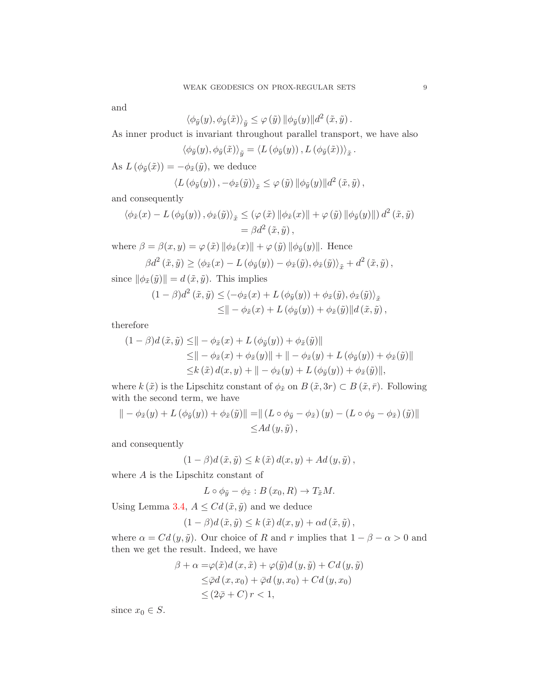and

$$
\langle \phi_{\tilde{y}}(y), \phi_{\tilde{y}}(\tilde{x}) \rangle_{\tilde{y}} \le \varphi(\tilde{y}) \|\phi_{\tilde{y}}(y)\| d^2(\tilde{x}, \tilde{y}).
$$

As inner product is invariant throughout parallel transport, we have also

$$
\langle \phi_{\tilde{y}}(y), \phi_{\tilde{y}}(\tilde{x}) \rangle_{\tilde{y}} = \langle L(\phi_{\tilde{y}}(y)), L(\phi_{\tilde{y}}(\tilde{x})) \rangle_{\tilde{x}}.
$$

As  $L(\phi_{\tilde{y}}(\tilde{x})) = -\phi_{\tilde{x}}(\tilde{y}),$  we deduce

$$
\langle L(\phi_{\tilde{y}}(y)), -\phi_{\tilde{x}}(\tilde{y})\rangle_{\tilde{x}} \leq \varphi(\tilde{y}) \|\phi_{\tilde{y}}(y)\| d^2(\tilde{x}, \tilde{y}),
$$

and consequently

$$
\langle \phi_{\tilde{x}}(x) - L(\phi_{\tilde{y}}(y)), \phi_{\tilde{x}}(\tilde{y}) \rangle_{\tilde{x}} \leq (\varphi(\tilde{x}) \|\phi_{\tilde{x}}(x)\| + \varphi(\tilde{y}) \|\phi_{\tilde{y}}(y)\|) d^2(\tilde{x}, \tilde{y})
$$
  
=  $\beta d^2(\tilde{x}, \tilde{y}),$ 

where  $\beta = \beta(x, y) = \varphi(\tilde{x}) \|\phi_{\tilde{x}}(x)\| + \varphi(\tilde{y}) \|\phi_{\tilde{y}}(y)\|$ . Hence

$$
\beta d^2(\tilde{x}, \tilde{y}) \ge \langle \phi_{\tilde{x}}(x) - L(\phi_{\tilde{y}}(y)) - \phi_{\tilde{x}}(\tilde{y}), \phi_{\tilde{x}}(\tilde{y}) \rangle_{\tilde{x}} + d^2(\tilde{x}, \tilde{y}),
$$

since  $\|\phi_{\tilde{x}}(\tilde{y})\|=d\,(\tilde{x}, \tilde{y}).$  This implies

$$
(1 - \beta)d^{2}(\tilde{x}, \tilde{y}) \leq \langle -\phi_{\tilde{x}}(x) + L(\phi_{\tilde{y}}(y)) + \phi_{\tilde{x}}(\tilde{y}), \phi_{\tilde{x}}(\tilde{y}) \rangle_{\tilde{x}} \leq || -\phi_{\tilde{x}}(x) + L(\phi_{\tilde{y}}(y)) + \phi_{\tilde{x}}(\tilde{y}) || d(\tilde{x}, \tilde{y}),
$$

therefore

$$
(1 - \beta)d(\tilde{x}, \tilde{y}) \leq || - \phi_{\tilde{x}}(x) + L(\phi_{\tilde{y}}(y)) + \phi_{\tilde{x}}(\tilde{y})||
$$
  
\n
$$
\leq || - \phi_{\tilde{x}}(x) + \phi_{\tilde{x}}(y)|| + || - \phi_{\tilde{x}}(y) + L(\phi_{\tilde{y}}(y)) + \phi_{\tilde{x}}(\tilde{y})||
$$
  
\n
$$
\leq k(\tilde{x})d(x, y) + || - \phi_{\tilde{x}}(y) + L(\phi_{\tilde{y}}(y)) + \phi_{\tilde{x}}(\tilde{y})||,
$$

where  $k(\tilde{x})$  is the Lipschitz constant of  $\phi_{\tilde{x}}$  on  $B(\tilde{x}, 3r) \subset B(\tilde{x}, \bar{r})$ . Following with the second term, we have

$$
\| - \phi_{\tilde{x}}(y) + L(\phi_{\tilde{y}}(y)) + \phi_{\tilde{x}}(\tilde{y}) \| = \| (L \circ \phi_{\tilde{y}} - \phi_{\tilde{x}}) (y) - (L \circ \phi_{\tilde{y}} - \phi_{\tilde{x}}) (\tilde{y}) \| \leq Ad (y, \tilde{y}),
$$

and consequently

$$
(1 - \beta)d(\tilde{x}, \tilde{y}) \le k(\tilde{x})d(x, y) + Ad(y, \tilde{y}),
$$

where  $A$  is the Lipschitz constant of

$$
L \circ \phi_{\tilde{y}} - \phi_{\tilde{x}} : B(x_0, R) \to T_{\tilde{x}}M.
$$

Using Lemma [3.4,](#page-6-0)  $A \leq Cd(\tilde{x}, \tilde{y})$  and we deduce

$$
(1 - \beta)d(\tilde{x}, \tilde{y}) \leq k(\tilde{x})d(x, y) + \alpha d(\tilde{x}, \tilde{y}),
$$

where  $\alpha = C d(y, \tilde{y})$ . Our choice of R and r implies that  $1 - \beta - \alpha > 0$  and then we get the result. Indeed, we have

$$
\beta + \alpha = \varphi(\tilde{x})d(x, \tilde{x}) + \varphi(\tilde{y})d(y, \tilde{y}) + Cd(y, \tilde{y})
$$
  
\n
$$
\leq \bar{\varphi}d(x, x_0) + \bar{\varphi}d(y, x_0) + Cd(y, x_0)
$$
  
\n
$$
\leq (2\bar{\varphi} + C)r < 1,
$$

since  $x_0 \in S$ .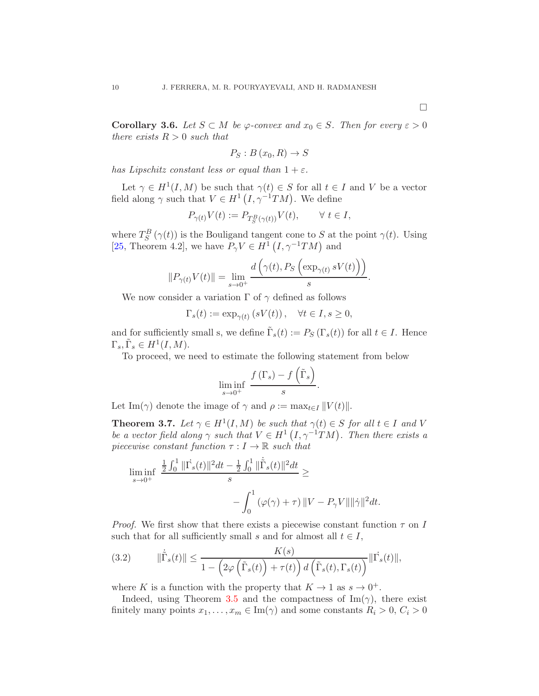$\Box$ 

**Corollary 3.6.** *Let*  $S \subset M$  *be*  $\varphi$ -convex and  $x_0 \in S$ *. Then for every*  $\varepsilon > 0$ *there exists*  $R > 0$  *such that* 

$$
P_S: B(x_0, R) \to S
$$

*has Lipschitz constant less or equal than*  $1 + \varepsilon$ *.* 

Let  $\gamma \in H^1(I, M)$  be such that  $\gamma(t) \in S$  for all  $t \in I$  and V be a vector field along  $\gamma$  such that  $V \in H^1(I, \gamma^{-1}TM)$ . We define

$$
P_{\gamma(t)}V(t):=P_{T^B_S(\gamma(t))}V(t),\qquad\forall\ t\in I,
$$

where  $T_S^B(\gamma(t))$  is the Bouligand tangent cone to S at the point  $\gamma(t)$ . Using [\[25,](#page-21-9) Theorem 4.2], we have  $P_{\gamma}V \in H^1(I, \gamma^{-1}TM)$  and

$$
||P_{\gamma(t)}V(t)|| = \lim_{s \to 0^+} \frac{d\left(\gamma(t), P_S\left(\exp_{\gamma(t)} sV(t)\right)\right)}{s}.
$$

We now consider a variation  $\Gamma$  of  $\gamma$  defined as follows

 $\Gamma_s(t) := \exp_{\gamma(t)}(sV(t)), \quad \forall t \in I, s \geq 0,$ 

and for sufficiently small s, we define  $\tilde{\Gamma}_s(t) := P_S(\Gamma_s(t))$  for all  $t \in I$ . Hence  $\Gamma_s, \tilde{\Gamma}_s \in H^1(I, M).$ 

To proceed, we need to estimate the following statement from below

$$
\liminf_{s \to 0^+} \frac{f(\Gamma_s) - f(\tilde{\Gamma}_s)}{s}.
$$

Let Im( $\gamma$ ) denote the image of  $\gamma$  and  $\rho := \max_{t \in I} ||V(t)||$ .

<span id="page-9-1"></span>**Theorem 3.7.** *Let*  $\gamma \in H^1(I, M)$  *be such that*  $\gamma(t) \in S$  *for all*  $t \in I$  *and* V *be a vector field along*  $\gamma$  *such that*  $V \in H^1(I, \gamma^{-1}TM)$ *. Then there exists a piecewise constant function*  $\tau: I \to \mathbb{R}$  *such that* 

$$
\begin{aligned} \liminf_{s \to 0^+} \ & \frac{\frac{1}{2} \int_0^1 \| \dot{\Gamma}_s(t) \|^2 dt - \frac{1}{2} \int_0^1 \| \dot{\tilde{\Gamma}}_s(t) \|^2 dt}{s} \geq \\ & \qquad \qquad - \int_0^1 \left( \varphi(\gamma) + \tau \right) \| V - P_\gamma V \| \| \dot{\gamma} \|^2 dt. \end{aligned}
$$

*Proof.* We first show that there exists a piecewise constant function  $\tau$  on I such that for all sufficiently small s and for almost all  $t \in I$ ,

<span id="page-9-0"></span>(3.2) 
$$
\|\dot{\tilde{\Gamma}}_s(t)\| \leq \frac{K(s)}{1 - \left(2\varphi\left(\tilde{\Gamma}_s(t)\right) + \tau(t)\right) d\left(\tilde{\Gamma}_s(t), \Gamma_s(t)\right)} \|\dot{\Gamma}_s(t)\|,
$$

where K is a function with the property that  $K \to 1$  as  $s \to 0^+$ .

Indeed, using Theorem [3.5](#page-7-0) and the compactness of  $\text{Im}(\gamma)$ , there exist finitely many points  $x_1, \ldots, x_m \in \text{Im}(\gamma)$  and some constants  $R_i > 0, C_i > 0$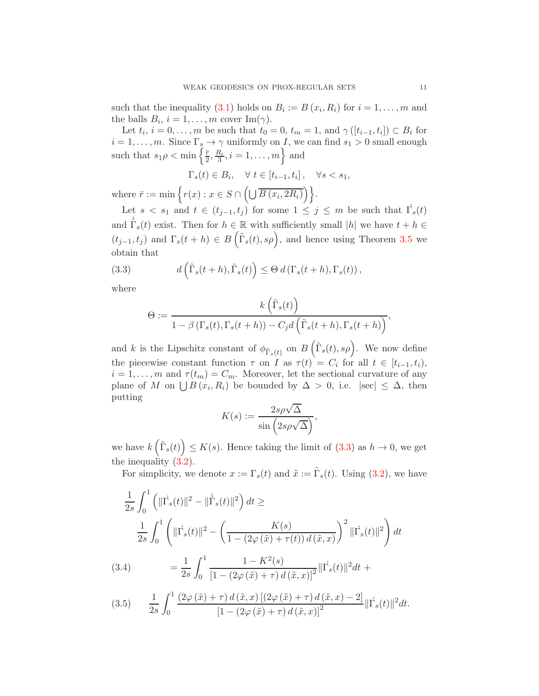such that the inequality [\(3.1\)](#page-7-1) holds on  $B_i := B(x_i, R_i)$  for  $i = 1, ..., m$  and the balls  $B_i$ ,  $i = 1, ..., m$  cover Im( $\gamma$ ).

Let  $t_i$ ,  $i = 0, \ldots, m$  be such that  $t_0 = 0, t_m = 1$ , and  $\gamma([t_{i-1}, t_i]) \subset B_i$  for  $i = 1, \ldots, m$ . Since  $\Gamma_s \to \gamma$  uniformly on I, we can find  $s_1 > 0$  small enough such that  $s_1 \rho < \min \left\{ \frac{\bar{r}}{2} \right\}$  $\frac{\bar{r}}{2}, \frac{R_i}{3}, i = 1, \ldots, m$  and

$$
\Gamma_s(t) \in B_i, \quad \forall \ t \in [t_{i-1}, t_i], \quad \forall s < s_1,
$$

where  $\bar{r} := \min \left\{ r(x) : x \in S \cap \left( \bigcup \overline{B(x_i, 2R_i)} \right) \right\}.$ 

Let  $s < s_1$  and  $t \in (t_{j-1}, t_j)$  for some  $1 \leq j \leq m$  be such that  $\Gamma_s(t)$ and  $\dot{\Gamma}_s(t)$  exist. Then for  $h \in \mathbb{R}$  with sufficiently small  $|h|$  we have  $t + h \in$  $(t_{j-1}, t_j)$  and  $\Gamma_s(t+h) \in B\left(\tilde{\Gamma}_s(t), s\rho\right)$ , and hence using Theorem [3.5](#page-7-0) we obtain that

(3.3) 
$$
d\left(\tilde{\Gamma}_s(t+h), \tilde{\Gamma}_s(t)\right) \leq \Theta d\left(\Gamma_s(t+h), \Gamma_s(t)\right),
$$

where

<span id="page-10-0"></span>
$$
\Theta := \frac{k\left(\tilde{\Gamma}_s(t)\right)}{1 - \beta\left(\Gamma_s(t), \Gamma_s(t+h)\right) - C_j d\left(\tilde{\Gamma}_s(t+h), \Gamma_s(t+h)\right)},
$$

and k is the Lipschitz constant of  $\phi_{\tilde{\Gamma}_s(t)}$  on  $B\left(\tilde{\Gamma}_s(t), s\rho\right)$ . We now define the piecewise constant function  $\tau$  on I as  $\tau(t) = C_i$  for all  $t \in [t_{i-1}, t_i)$ ,  $i = 1, \ldots, m$  and  $\tau(t_m) = C_m$ . Moreover, let the sectional curvature of any plane of M on  $\bigcup B(x_i, R_i)$  be bounded by  $\Delta > 0$ , i.e.  $|\sec| \leq \Delta$ , then putting

$$
K(s) := \frac{2s\rho\sqrt{\Delta}}{\sin\left(2s\rho\sqrt{\Delta}\right)},
$$

we have  $k\left(\tilde{\Gamma}_s(t)\right) \leq K(s)$ . Hence taking the limit of  $(3.3)$  as  $h \to 0$ , we get the inequality [\(3.2\)](#page-9-0).

For simplicity, we denote  $x := \Gamma_s(t)$  and  $\tilde{x} := \tilde{\Gamma}_s(t)$ . Using [\(3.2\)](#page-9-0), we have

$$
\frac{1}{2s} \int_0^1 \left( ||\dot{\Gamma_s}(t)||^2 - ||\dot{\tilde{\Gamma}_s}(t)||^2 \right) dt \ge
$$
\n
$$
\frac{1}{2s} \int_0^1 \left( ||\dot{\Gamma_s}(t)||^2 - \left( \frac{K(s)}{1 - (2\varphi(\tilde{x}) + \tau(t)) d(\tilde{x}, x)} \right)^2 ||\dot{\Gamma_s}(t)||^2 \right) dt
$$
\n(3.4)\n
$$
= \frac{1}{2s} \int_0^1 \frac{1 - K^2(s)}{\left[1 - (2\varphi(\tilde{x}) + \tau) d(\tilde{x}, x)\right]^2} ||\dot{\Gamma_s}(t)||^2 dt +
$$

<span id="page-10-2"></span><span id="page-10-1"></span>
$$
(3.5) \qquad \frac{1}{2s} \int_0^1 \frac{\left(2\varphi\left(\tilde{x}\right) + \tau\right) d\left(\tilde{x}, x\right) \left[\left(2\varphi\left(\tilde{x}\right) + \tau\right) d\left(\tilde{x}, x\right) - 2\right]}{\left[1 - \left(2\varphi\left(\tilde{x}\right) + \tau\right) d\left(\tilde{x}, x\right)\right]^2} \|\Gamma_s(t)\|^2 dt.
$$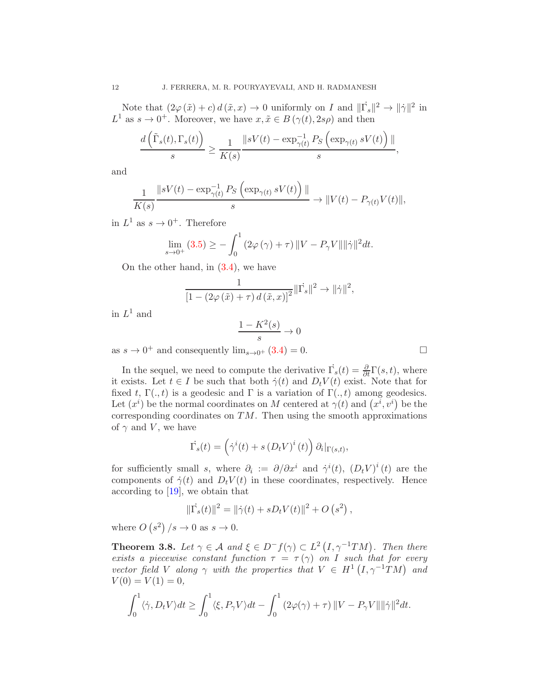Note that  $(2\varphi(\tilde{x})+c) d(\tilde{x},x) \to 0$  uniformly on I and  $\|\Gamma_s\|^2 \to \|\dot{\gamma}\|^2$  in  $L^1$  as  $s \to 0^+$ . Moreover, we have  $x, \tilde{x} \in B(\gamma(t), 2s\rho)$  and then

$$
\frac{d\left(\tilde{\Gamma}_s(t),\Gamma_s(t)\right)}{s} \ge \frac{1}{K(s)} \frac{\|sV(t) - \exp_{\gamma(t)}^{-1} P_S\left(\exp_{\gamma(t)} sV(t)\right) \|}{s},
$$

and

$$
\frac{1}{K(s)} \frac{\|sV(t) - \exp_{\gamma(t)}^{-1} P_S \left( \exp_{\gamma(t)} sV(t) \right) \|}{s} \to \|V(t) - P_{\gamma(t)} V(t) \|,
$$

in  $L^1$  as  $s \to 0^+$ . Therefore

$$
\lim_{s \to 0^+} (3.5) \ge -\int_0^1 (2\varphi(\gamma) + \tau) \|V - P_{\gamma}V\| \|\dot{\gamma}\|^2 dt.
$$

On the other hand, in [\(3.4\)](#page-10-2), we have

$$
\frac{1}{\left[1 - \left(2\varphi\left(\tilde{x}\right) + \tau\right)d\left(\tilde{x}, x\right)\right]^2} \|\dot{\Gamma_s}\|^2 \to \|\dot{\gamma}\|^2,
$$

in  $L^1$  and

$$
\frac{1 - K^2(s)}{s} \to 0
$$

as  $s \to 0^+$  and consequently  $\lim_{s \to 0^+} (3.4) = 0$  $\lim_{s \to 0^+} (3.4) = 0$  $\lim_{s \to 0^+} (3.4) = 0$ .

In the sequel, we need to compute the derivative  $\Gamma_s(t) = \frac{\partial}{\partial t} \Gamma(s, t)$ , where it exists. Let  $t \in I$  be such that both  $\dot{\gamma}(t)$  and  $D_t V(t)$  exist. Note that for fixed t,  $\Gamma(.,t)$  is a geodesic and  $\Gamma$  is a variation of  $\Gamma(.,t)$  among geodesics. Let  $(x^{i})$  be the normal coordinates on M centered at  $\gamma(t)$  and  $(x^{i}, v^{i})$  be the corresponding coordinates on  $TM$ . Then using the smooth approximations of  $\gamma$  and V, we have

$$
\dot{\Gamma}_s(t) = \left(\dot{\gamma}^i(t) + s\left(D_t V\right)^i(t)\right)\partial_i|_{\Gamma(s,t)},
$$

for sufficiently small s, where  $\partial_i := \partial/\partial x^i$  and  $\dot{\gamma}^i(t)$ ,  $(D_t V)^i(t)$  are the components of  $\dot{\gamma}(t)$  and  $D_t V(t)$  in these coordinates, respectively. Hence according to [\[19\]](#page-20-13), we obtain that

$$
\|\dot{\Gamma}_s(t)\|^2 = \|\dot{\gamma}(t) + sD_t V(t)\|^2 + O(s^2),
$$

where  $O(s^2)/s \to 0$  as  $s \to 0$ .

<span id="page-11-0"></span>**Theorem 3.8.** Let  $\gamma \in A$  and  $\xi \in D^-f(\gamma) \subset L^2(I, \gamma^{-1}TM)$ . Then there *exists a piecewise constant function*  $\tau = \tau(\gamma)$  *on* I *such that for every vector field* V *along*  $\gamma$  *with the properties that*  $V \in H^1(I, \gamma^{-1}TM)$  *and*  $V(0) = V(1) = 0,$ 

$$
\int_0^1 \langle \dot{\gamma}, D_t V \rangle dt \ge \int_0^1 \langle \xi, P_\gamma V \rangle dt - \int_0^1 (2\varphi(\gamma) + \tau) ||V - P_\gamma V|| ||\dot{\gamma}||^2 dt.
$$

$$
\qquad \qquad \Box
$$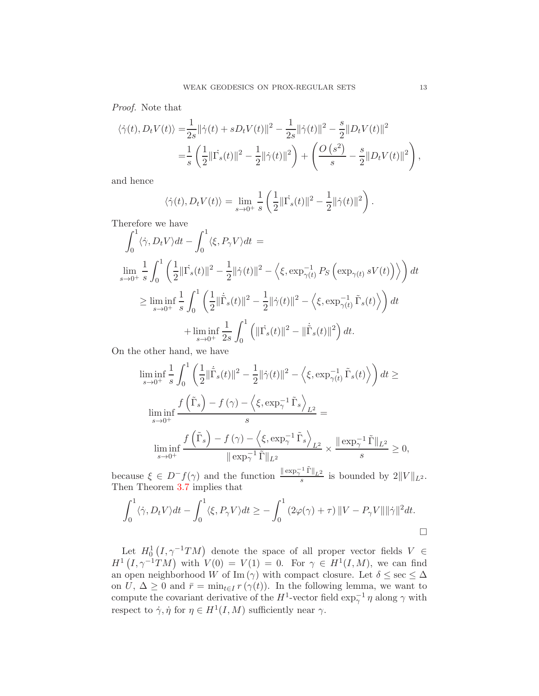*Proof.* Note that

$$
\langle \dot{\gamma}(t), D_t V(t) \rangle = \frac{1}{2s} ||\dot{\gamma}(t) + s D_t V(t)||^2 - \frac{1}{2s} ||\dot{\gamma}(t)||^2 - \frac{s}{2} ||D_t V(t)||^2
$$
  

$$
= \frac{1}{s} \left( \frac{1}{2} ||\dot{\Gamma_s}(t)||^2 - \frac{1}{2} ||\dot{\gamma}(t)||^2 \right) + \left( \frac{O\left(s^2\right)}{s} - \frac{s}{2} ||D_t V(t)||^2 \right),
$$

and hence

$$
\langle \dot{\gamma}(t), D_t V(t) \rangle = \lim_{s \to 0^+} \frac{1}{s} \left( \frac{1}{2} ||\dot{\Gamma_s}(t)||^2 - \frac{1}{2} ||\dot{\gamma}(t)||^2 \right).
$$

Therefore we have

$$
\int_0^1 \langle \dot{\gamma}, D_t V \rangle dt - \int_0^1 \langle \xi, P_\gamma V \rangle dt =
$$
\n
$$
\lim_{s \to 0^+} \frac{1}{s} \int_0^1 \left( \frac{1}{2} \| \dot{\Gamma}_s(t) \|^2 - \frac{1}{2} \| \dot{\gamma}(t) \|^2 - \left\langle \xi, \exp_{\gamma(t)}^{-1} P_S \left( \exp_{\gamma(t)} sV(t) \right) \right\rangle \right) dt
$$
\n
$$
\geq \lim_{s \to 0^+} \inf_{s} \frac{1}{s} \int_0^1 \left( \frac{1}{2} \| \dot{\tilde{\Gamma}}_s(t) \|^2 - \frac{1}{2} \| \dot{\gamma}(t) \|^2 - \left\langle \xi, \exp_{\gamma(t)}^{-1} \tilde{\Gamma}_s(t) \right\rangle \right) dt
$$
\n
$$
+ \lim_{s \to 0^+} \frac{1}{2s} \int_0^1 \left( \| \dot{\Gamma}_s(t) \|^2 - \| \dot{\tilde{\Gamma}}_s(t) \|^2 \right) dt.
$$

On the other hand, we have

$$
\liminf_{s \to 0^+} \frac{1}{s} \int_0^1 \left( \frac{1}{2} \| \tilde{\Gamma}_s(t) \|^2 - \frac{1}{2} \| \dot{\gamma}(t) \|^2 - \left\langle \xi, \exp_{\gamma(t)}^{-1} \tilde{\Gamma}_s(t) \right\rangle \right) dt \ge
$$
\n
$$
\liminf_{s \to 0^+} \frac{f(\tilde{\Gamma}_s) - f(\gamma) - \left\langle \xi, \exp_{\gamma}^{-1} \tilde{\Gamma}_s \right\rangle_{L^2}}{s} =
$$
\n
$$
\liminf_{s \to 0^+} \frac{f(\tilde{\Gamma}_s) - f(\gamma) - \left\langle \xi, \exp_{\gamma}^{-1} \tilde{\Gamma}_s \right\rangle_{L^2}}{\| \exp_{\gamma}^{-1} \tilde{\Gamma} \|_{L^2}} \times \frac{\| \exp_{\gamma}^{-1} \tilde{\Gamma} \|_{L^2}}{s} \ge 0,
$$

because  $\xi \in D^- f(\gamma)$  and the function  $\frac{\|\exp_\gamma^{-1} \tilde{\Gamma}\|_{L^2}}{s}$  is bounded by  $2||V||_{L^2}$ . Then Theorem [3.7](#page-9-1) implies that

$$
\int_0^1 \langle \dot{\gamma}, D_t V \rangle dt - \int_0^1 \langle \xi, P_\gamma V \rangle dt \ge - \int_0^1 (2\varphi(\gamma) + \tau) ||V - P_\gamma V|| ||\dot{\gamma}||^2 dt.
$$

Let  $H_0^1(I, \gamma^{-1}TM)$  denote the space of all proper vector fields  $V \in$  $H^1(I, \gamma^{-1}TM)$  with  $V(0) = V(1) = 0$ . For  $\gamma \in H^1(I, M)$ , we can find an open neighborhood W of Im ( $\gamma$ ) with compact closure. Let  $\delta \leq \sec \leq \Delta$ on  $U, \Delta \geq 0$  and  $\bar{r} = \min_{t \in I} r(\gamma(t))$ . In the following lemma, we want to compute the covariant derivative of the  $H^1$ -vector field  $\exp_\gamma^{-1} \eta$  along  $\gamma$  with respect to  $\dot{\gamma}, \dot{\eta}$  for  $\eta \in H^1(I, M)$  sufficiently near  $\gamma$ .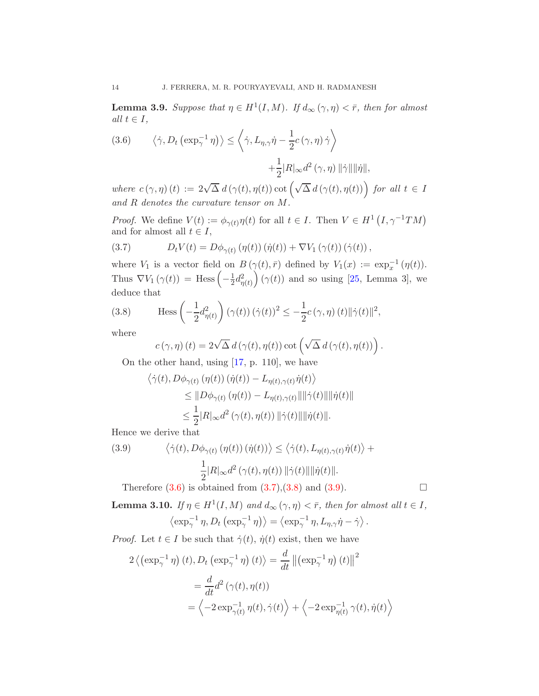<span id="page-13-4"></span>**Lemma 3.9.** Suppose that  $\eta \in H^1(I, M)$ . If  $d_{\infty}(\gamma, \eta) < \bar{r}$ , then for almost *all*  $t \in I$ *,* 

<span id="page-13-0"></span>(3.6) 
$$
\langle \dot{\gamma}, D_t \left( \exp_{\gamma}^{-1} \eta \right) \rangle \leq \left\langle \dot{\gamma}, L_{\eta, \gamma} \dot{\eta} - \frac{1}{2} c \left( \gamma, \eta \right) \dot{\gamma} \right\rangle
$$
  
  $+ \frac{1}{2} |R|_{\infty} d^2 \left( \gamma, \eta \right) ||\dot{\gamma}|| ||\dot{\eta}||,$ 

where  $c(\gamma, \eta)(t) := 2\sqrt{\Delta} d(\gamma(t), \eta(t)) \cot(\sqrt{\Delta} d(\gamma(t), \eta(t)))$  for all  $t \in I$ *and* R *denotes the curvature tensor on* M*.*

*Proof.* We define  $V(t) := \phi_{\gamma(t)} \eta(t)$  for all  $t \in I$ . Then  $V \in H^1(I, \gamma^{-1}TM)$ and for almost all  $t \in I$ ,

<span id="page-13-1"></span>(3.7) 
$$
D_t V(t) = D\phi_{\gamma(t)}(\eta(t))(\dot{\eta}(t)) + \nabla V_1(\gamma(t))(\dot{\gamma}(t)),
$$

where  $V_1$  is a vector field on  $B(\gamma(t), \bar{r})$  defined by  $V_1(x) := \exp_x^{-1}(\eta(t)).$ Thus  $\nabla V_1(\gamma(t)) = \text{Hess}\left(-\frac{1}{2}\right)$  $\frac{1}{2}d_{\eta(t)}^2\right) (\gamma(t))$  and so using [\[25,](#page-21-9) Lemma 3], we deduce that

(3.8) 
$$
\text{Hess}\left(-\frac{1}{2}d_{\eta(t)}^2\right)(\gamma(t))\left(\dot{\gamma}(t)\right)^2 \leq -\frac{1}{2}c(\gamma,\eta)(t)\|\dot{\gamma}(t)\|^2,
$$

where

<span id="page-13-2"></span>
$$
c(\gamma, \eta)(t) = 2\sqrt{\Delta} d(\gamma(t), \eta(t)) \cot \left(\sqrt{\Delta} d(\gamma(t), \eta(t))\right).
$$

On the other hand, using [\[17,](#page-20-17) p. 110], we have

$$
\langle \dot{\gamma}(t), D\phi_{\gamma(t)}(\eta(t))(\dot{\eta}(t)) - L_{\eta(t),\gamma(t)}\dot{\eta}(t) \rangle
$$
  
\n
$$
\leq ||D\phi_{\gamma(t)}(\eta(t)) - L_{\eta(t),\gamma(t)}|| ||\dot{\gamma}(t)|| ||\dot{\eta}(t)||
$$
  
\n
$$
\leq \frac{1}{2} |R|_{\infty} d^2 (\gamma(t), \eta(t)) ||\dot{\gamma}(t)|| ||\dot{\eta}(t)||.
$$

Hence we derive that

<span id="page-13-3"></span>(3.9) 
$$
\langle \dot{\gamma}(t), D\phi_{\gamma(t)}(\eta(t))(\dot{\eta}(t)) \rangle \leq \langle \dot{\gamma}(t), L_{\eta(t), \gamma(t)} \dot{\eta}(t) \rangle +
$$

$$
\frac{1}{2} |R|_{\infty} d^2(\gamma(t), \eta(t)) ||\dot{\gamma}(t)|| \|\dot{\eta}(t)\|.
$$

Therefore  $(3.6)$  is obtained from  $(3.7),(3.8)$  $(3.7),(3.8)$  and  $(3.9)$ .

**Lemma 3.10.** *If*  $\eta \in H^1(I, M)$  *and*  $d_{\infty}(\gamma, \eta) < \bar{r}$ *, then for almost all*  $t \in I$ *,*  $\langle \exp_\gamma^{-1} \eta, D_t \left( \exp_\gamma^{-1} \eta \right) \rangle = \langle \exp_\gamma^{-1} \eta, L_{\eta, \gamma} \dot{\eta} - \dot{\gamma} \rangle.$ 

*Proof.* Let  $t \in I$  be such that  $\dot{\gamma}(t)$ ,  $\dot{\eta}(t)$  exist, then we have

$$
2\left\langle \left(\exp_{\gamma}^{-1}\eta\right)(t), D_t\left(\exp_{\gamma}^{-1}\eta\right)(t) \right\rangle = \frac{d}{dt} \left\| \left(\exp_{\gamma}^{-1}\eta\right)(t) \right\|^2
$$

$$
= \frac{d}{dt} d^2 \left( \gamma(t), \eta(t) \right)
$$

$$
= \left\langle -2 \exp_{\gamma(t)}^{-1} \eta(t), \dot{\gamma}(t) \right\rangle + \left\langle -2 \exp_{\eta(t)}^{-1} \gamma(t), \dot{\eta}(t) \right\rangle
$$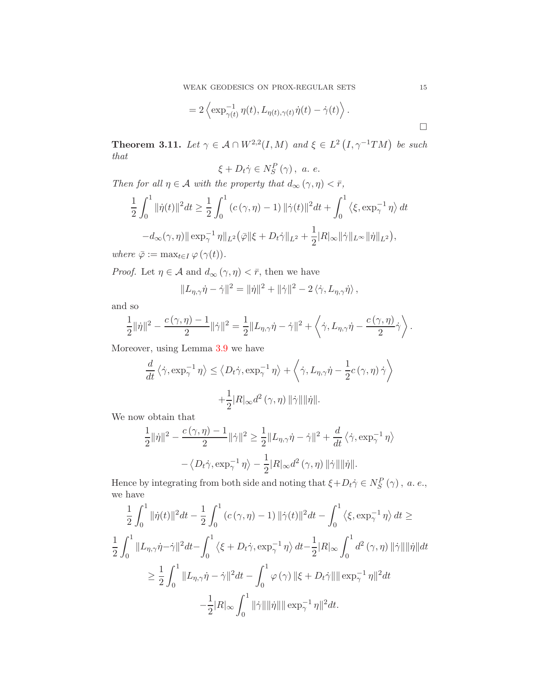WEAK GEODESICS ON PROX-REGULAR SETS 15

$$
= 2 \left\langle \exp_{\gamma(t)}^{-1} \eta(t), L_{\eta(t), \gamma(t)} \dot{\eta}(t) - \dot{\gamma}(t) \right\rangle.
$$

<span id="page-14-0"></span>**Theorem 3.11.** Let  $\gamma \in A \cap W^{2,2}(I,M)$  and  $\xi \in L^2(I, \gamma^{-1}TM)$  be such *that*

$$
\xi + D_t \dot{\gamma} \in N_S^P(\gamma), \ a. e.
$$

*Then for all*  $\eta \in \mathcal{A}$  *with the property that*  $d_{\infty}(\gamma, \eta) < \bar{r}$ *,* 

$$
\frac{1}{2} \int_0^1 \|\dot{\eta}(t)\|^2 dt \ge \frac{1}{2} \int_0^1 (c(\gamma, \eta) - 1) \|\dot{\gamma}(t)\|^2 dt + \int_0^1 \langle \xi, \exp_\gamma^{-1} \eta \rangle dt \n-d_\infty(\gamma, \eta) \|\exp_\gamma^{-1} \eta\|_{L^2} (\bar{\varphi}\|\xi + D_t \dot{\gamma}\|_{L^2} + \frac{1}{2} |R|_\infty \|\dot{\gamma}\|_{L^\infty} \|\dot{\eta}\|_{L^2}),
$$

*where*  $\bar{\varphi} := \max_{t \in I} \varphi(\gamma(t)).$ 

*Proof.* Let  $\eta \in \mathcal{A}$  and  $d_{\infty}(\gamma, \eta) < \bar{r}$ , then we have

$$
||L_{\eta,\gamma}\dot{\eta}-\dot{\gamma}||^2=||\dot{\eta}||^2+||\dot{\gamma}||^2-2\langle\dot{\gamma},L_{\eta,\gamma}\dot{\eta}\rangle,
$$

and so

$$
\frac{1}{2}||\dot{\eta}||^2 - \frac{c(\gamma,\eta)-1}{2}||\dot{\gamma}||^2 = \frac{1}{2}||L_{\eta,\gamma}\dot{\eta} - \dot{\gamma}||^2 + \left\langle \dot{\gamma}, L_{\eta,\gamma}\dot{\eta} - \frac{c(\gamma,\eta)}{2}\dot{\gamma} \right\rangle.
$$

Moreover, using Lemma [3.9](#page-13-4) we have

$$
\frac{d}{dt}\langle \dot{\gamma}, \exp_{\gamma}^{-1} \eta \rangle \le \langle D_t \dot{\gamma}, \exp_{\gamma}^{-1} \eta \rangle + \langle \dot{\gamma}, L_{\eta, \gamma} \dot{\eta} - \frac{1}{2} c(\gamma, \eta) \dot{\gamma} \rangle
$$

$$
+ \frac{1}{2} |R|_{\infty} d^2(\gamma, \eta) ||\dot{\gamma}|| ||\dot{\eta}||.
$$

We now obtain that

$$
\begin{split} \frac{1}{2}\|\dot{\eta}\|^2-\frac{c\left(\gamma,\eta\right)-1}{2}\|\dot{\gamma}\|^2 &\geq \frac{1}{2}\|L_{\eta,\gamma}\dot{\eta}-\dot{\gamma}\|^2+\frac{d}{dt}\left\langle \dot{\gamma},\exp^{-1}_{\gamma}\eta\right\rangle\\ &-\left\langle D_t\dot{\gamma},\exp^{-1}_{\gamma}\eta\right\rangle-\frac{1}{2}|R|_{\infty}d^2\left(\gamma,\eta\right)\|\dot{\gamma}\|\|\dot{\eta}\|. \end{split}
$$

Hence by integrating from both side and noting that  $\xi + D_t \dot{\gamma} \in N_S^P(\gamma)$ , *a.e.*, we have

$$
\frac{1}{2} \int_0^1 ||\dot{\eta}(t)||^2 dt - \frac{1}{2} \int_0^1 (c(\gamma, \eta) - 1) ||\dot{\gamma}(t)||^2 dt - \int_0^1 \langle \xi, \exp_\gamma^{-1} \eta \rangle dt \ge
$$
  

$$
\frac{1}{2} \int_0^1 ||L_{\eta, \gamma} \dot{\eta} - \dot{\gamma}||^2 dt - \int_0^1 \langle \xi + D_t \dot{\gamma}, \exp_\gamma^{-1} \eta \rangle dt - \frac{1}{2} |R|_{\infty} \int_0^1 d^2(\gamma, \eta) ||\dot{\gamma}|| ||\dot{\eta}|| dt
$$
  

$$
\geq \frac{1}{2} \int_0^1 ||L_{\eta, \gamma} \dot{\eta} - \dot{\gamma}||^2 dt - \int_0^1 \varphi(\gamma) ||\xi + D_t \dot{\gamma}|| ||\exp_\gamma^{-1} \eta||^2 dt
$$
  

$$
-\frac{1}{2} |R|_{\infty} \int_0^1 ||\dot{\gamma}|| ||\dot{\eta}|| ||\exp_\gamma^{-1} \eta||^2 dt.
$$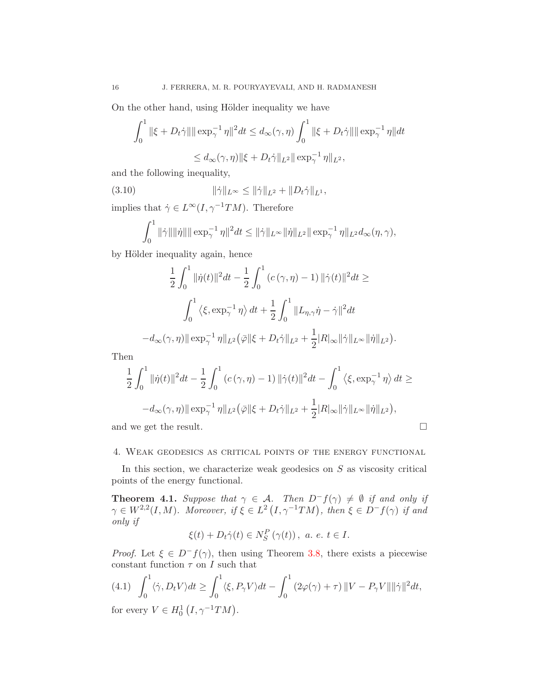On the other hand, using Hölder inequality we have

$$
\int_0^1 ||\xi + D_t \dot{\gamma}|| \|\exp_{\gamma}^{-1} \eta\|^2 dt \le d_{\infty}(\gamma, \eta) \int_0^1 ||\xi + D_t \dot{\gamma}|| \|\exp_{\gamma}^{-1} \eta\| dt
$$
  

$$
\le d_{\infty}(\gamma, \eta) \|\xi + D_t \dot{\gamma}\|_{L^2} \|\exp_{\gamma}^{-1} \eta\|_{L^2},
$$

and the following inequality,

(3.10) 
$$
\|\dot{\gamma}\|_{L^{\infty}} \le \|\dot{\gamma}\|_{L^{2}} + \|D_{t}\dot{\gamma}\|_{L^{1}},
$$

implies that  $\dot{\gamma} \in L^{\infty}(I, \gamma^{-1}TM)$ . Therefore

$$
\int_0^1 \|\dot{\gamma}\| \|\dot{\eta}\| \|\exp_{\gamma}^{-1} \eta\|^2 dt \le \|\dot{\gamma}\|_{L^\infty} \|\dot{\eta}\|_{L^2} \|\exp_{\gamma}^{-1} \eta\|_{L^2} d_{\infty}(\eta, \gamma),
$$

by Hölder inequality again, hence

$$
\frac{1}{2} \int_0^1 \|\dot{\eta}(t)\|^2 dt - \frac{1}{2} \int_0^1 (c(\gamma, \eta) - 1) \|\dot{\gamma}(t)\|^2 dt \ge
$$
  

$$
\int_0^1 \langle \xi, \exp_\gamma^{-1} \eta \rangle dt + \frac{1}{2} \int_0^1 \|L_{\eta, \gamma} \dot{\eta} - \dot{\gamma}\|^2 dt
$$
  

$$
-d_\infty(\gamma, \eta) \|\exp_\gamma^{-1} \eta\|_{L^2} (\bar{\varphi}\|\xi + D_t \dot{\gamma}\|_{L^2} + \frac{1}{2} |R|_\infty \|\dot{\gamma}\|_{L^\infty} \|\dot{\eta}\|_{L^2}).
$$

Then

$$
\frac{1}{2} \int_0^1 \|\dot{\eta}(t)\|^2 dt - \frac{1}{2} \int_0^1 \left(c(\gamma, \eta) - 1\right) \|\dot{\gamma}(t)\|^2 dt - \int_0^1 \left\langle \xi, \exp_\gamma^{-1} \eta \right\rangle dt \ge
$$
  

$$
-d_\infty(\gamma, \eta) \|\exp_\gamma^{-1} \eta\|_{L^2} \left(\bar{\varphi}\|\xi + D_t \dot{\gamma}\|_{L^2} + \frac{1}{2} |R|_\infty \|\dot{\gamma}\|_{L^\infty} \|\dot{\eta}\|_{L^2} \right),
$$
 and we get the result.

## <span id="page-15-0"></span>4. Weak geodesics as critical points of the energy functional

In this section, we characterize weak geodesics on  $S$  as viscosity critical points of the energy functional.

<span id="page-15-2"></span>**Theorem 4.1.** Suppose that  $\gamma \in \mathcal{A}$ . Then  $D^-f(\gamma) \neq \emptyset$  if and only if  $\gamma \in W^{2,2}(I,M)$ *. Moreover, if*  $\xi \in L^2(I, \gamma^{-1}TM)$ *, then*  $\xi \in D^-f(\gamma)$  *if and only if*

$$
\xi(t) + D_t \dot{\gamma}(t) \in N_S^P(\gamma(t)), \ a. \ e. \ t \in I.
$$

*Proof.* Let  $\xi \in D^-f(\gamma)$ , then using Theorem [3.8,](#page-11-0) there exists a piecewise constant function  $\tau$  on I such that

<span id="page-15-1"></span>
$$
(4.1) \int_0^1 \langle \dot{\gamma}, D_t V \rangle dt \ge \int_0^1 \langle \xi, P_\gamma V \rangle dt - \int_0^1 (2\varphi(\gamma) + \tau) ||V - P_\gamma V|| ||\dot{\gamma}||^2 dt,
$$
  
for every  $V \in H_0^1(I, \gamma^{-1}TM)$ .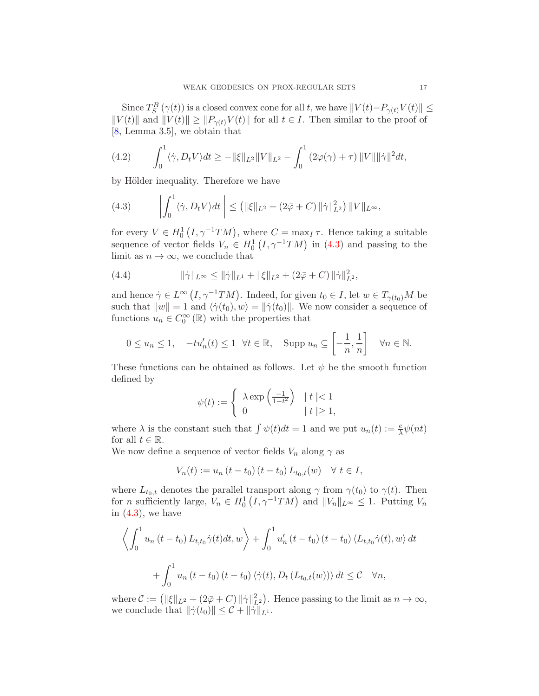Since  $T_S^B(\gamma(t))$  is a closed convex cone for all t, we have  $||V(t)-P_{\gamma(t)}V(t)|| \le$  $||V(t)||$  and  $||V(t)|| \geq ||P_{\gamma(t)}V(t)||$  for all  $t \in I$ . Then similar to the proof of [\[8,](#page-20-7) Lemma 3.5], we obtain that

<span id="page-16-2"></span>(4.2) 
$$
\int_0^1 \langle \dot{\gamma}, D_t V \rangle dt \geq -\|\xi\|_{L^2} \|V\|_{L^2} - \int_0^1 (2\varphi(\gamma) + \tau) \|V\| \|\dot{\gamma}\|^2 dt,
$$

by Hölder inequality. Therefore we have

<span id="page-16-0"></span>(4.3) 
$$
\left| \int_0^1 \langle \dot{\gamma}, D_t V \rangle dt \right| \leq ( \|\xi\|_{L^2} + (2\bar{\varphi} + C) \|\dot{\gamma}\|_{L^2}^2) \|V\|_{L^\infty},
$$

for every  $V \in H_0^1(I, \gamma^{-1}TM)$ , where  $C = \max_I \tau$ . Hence taking a suitable sequence of vector fields  $V_n \in H_0^1(I, \gamma^{-1}TM)$  in [\(4.3\)](#page-16-0) and passing to the limit as  $n \to \infty$ , we conclude that

<span id="page-16-1"></span>(4.4) 
$$
\|\dot{\gamma}\|_{L^{\infty}} \le \|\dot{\gamma}\|_{L^{1}} + \|\xi\|_{L^{2}} + (2\bar{\varphi} + C) \|\dot{\gamma}\|_{L^{2}}^{2},
$$

and hence  $\dot{\gamma} \in L^{\infty}(I, \gamma^{-1}TM)$ . Indeed, for given  $t_0 \in I$ , let  $w \in T_{\gamma(t_0)}M$  be such that  $||w|| = 1$  and  $\langle \dot{\gamma}(t_0), w \rangle = ||\dot{\gamma}(t_0)||$ . We now consider a sequence of functions  $u_n \in C_0^{\infty}(\mathbb{R})$  with the properties that

$$
0 \le u_n \le 1, \quad -tu'_n(t) \le 1 \quad \forall t \in \mathbb{R}, \quad \text{Supp } u_n \subseteq \left[ -\frac{1}{n}, \frac{1}{n} \right] \quad \forall n \in \mathbb{N}.
$$

These functions can be obtained as follows. Let  $\psi$  be the smooth function defined by

$$
\psi(t) := \begin{cases} \lambda \exp\left(\frac{-1}{1-t^2}\right) & |t| < 1 \\ 0 & |t| \ge 1, \end{cases}
$$

where  $\lambda$  is the constant such that  $\int \psi(t)dt = 1$  and we put  $u_n(t) := \frac{e}{\lambda} \psi(nt)$ for all  $t \in \mathbb{R}$ .

We now define a sequence of vector fields  $V_n$  along  $\gamma$  as

$$
V_n(t) := u_n (t - t_0) (t - t_0) L_{t_0, t}(w) \quad \forall \ t \in I,
$$

where  $L_{t_0,t}$  denotes the parallel transport along  $\gamma$  from  $\gamma(t_0)$  to  $\gamma(t)$ . Then for *n* sufficiently large,  $V_n \in H_0^1(I, \gamma^{-1}TM)$  and  $||V_n||_{L^{\infty}} \leq 1$ . Putting  $V_n$ in  $(4.3)$ , we have

$$
\left\langle \int_0^1 u_n(t - t_0) L_{t,t_0} \dot{\gamma}(t) dt, w \right\rangle + \int_0^1 u'_n(t - t_0) (t - t_0) \left\langle L_{t,t_0} \dot{\gamma}(t), w \right\rangle dt + \int_0^1 u_n (t - t_0) (t - t_0) \left\langle \dot{\gamma}(t), D_t (L_{t_0,t}(w)) \right\rangle dt \leq C \quad \forall n,
$$

where  $\mathcal{C} := (\|\xi\|_{L^2} + (2\overline{\varphi} + C) \|\dot{\gamma}\|_{L^2}^2)$ . Hence passing to the limit as  $n \to \infty$ , we conclude that  $\|\dot{\gamma}(t_0)\| \leq C + \|\dot{\gamma}\|_{L^1}$ .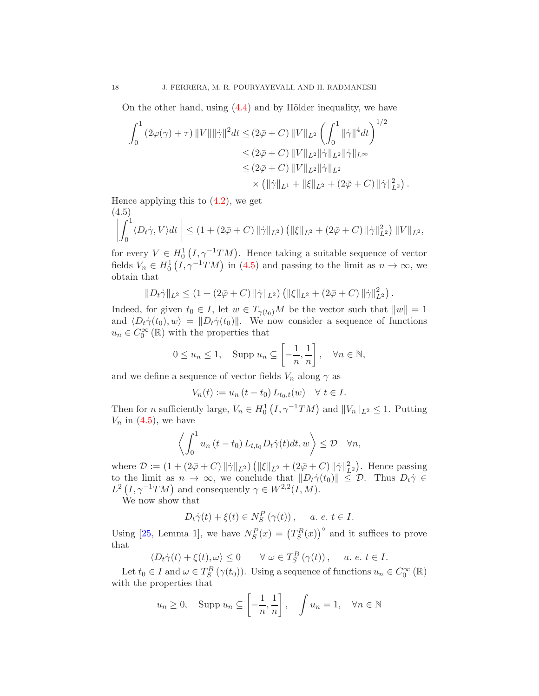On the other hand, using  $(4.4)$  and by Hölder inequality, we have

$$
\int_0^1 (2\varphi(\gamma) + \tau) ||V|| ||\dot{\gamma}||^2 dt \le (2\bar{\varphi} + C) ||V||_{L^2} \left( \int_0^1 ||\dot{\gamma}||^4 dt \right)^{1/2}
$$
  
\n
$$
\le (2\bar{\varphi} + C) ||V||_{L^2} ||\dot{\gamma}||_{L^2} ||\dot{\gamma}||_{L^{\infty}}
$$
  
\n
$$
\le (2\bar{\varphi} + C) ||V||_{L^2} ||\dot{\gamma}||_{L^2}
$$
  
\n
$$
\times (||\dot{\gamma}||_{L^1} + ||\xi||_{L^2} + (2\bar{\varphi} + C) ||\dot{\gamma}||_{L^2}^2).
$$

Hence applying this to  $(4.2)$ , we get  $(1.5)$ 

<span id="page-17-0"></span>
$$
\left| \int_0^1 \langle D_t \dot{\gamma}, V \rangle dt \right| \le (1 + (2\bar{\varphi} + C) \|\dot{\gamma}\|_{L^2}) \left( \|\xi\|_{L^2} + (2\bar{\varphi} + C) \|\dot{\gamma}\|_{L^2}^2 \right) \|V\|_{L^2},
$$

for every  $V \in H_0^1(I, \gamma^{-1}TM)$ . Hence taking a suitable sequence of vector fields  $V_n \in H_0^1(I, \gamma^{-1}TM)$  in [\(4.5\)](#page-17-0) and passing to the limit as  $n \to \infty$ , we obtain that

$$
||D_t \dot{\gamma}||_{L^2} \le (1 + (2\bar{\varphi} + C) ||\dot{\gamma}||_{L^2}) (||\xi||_{L^2} + (2\bar{\varphi} + C) ||\dot{\gamma}||_{L^2}^2).
$$

Indeed, for given  $t_0 \in I$ , let  $w \in T_{\gamma(t_0)}M$  be the vector such that  $||w|| = 1$ and  $\langle D_t\dot{\gamma}(t_0), w \rangle = ||D_t\dot{\gamma}(t_0)||$ . We now consider a sequence of functions  $u_n \in C_0^{\infty}(\mathbb{R})$  with the properties that

$$
0 \le u_n \le 1
$$
, Supp  $u_n \subseteq \left[-\frac{1}{n}, \frac{1}{n}\right]$ ,  $\forall n \in \mathbb{N}$ ,

and we define a sequence of vector fields  $V_n$  along  $\gamma$  as

$$
V_n(t) := u_n (t - t_0) L_{t_0, t}(w) \quad \forall \ t \in I.
$$

Then for *n* sufficiently large,  $V_n \in H_0^1(I, \gamma^{-1}TM)$  and  $||V_n||_{L^2} \leq 1$ . Putting  $V_n$  in  $(4.5)$ , we have

$$
\left\langle \int_0^1 u_n(t-t_0) L_{t,t_0} D_t \dot{\gamma}(t) dt, w \right\rangle \leq \mathcal{D} \quad \forall n,
$$

where  $\mathcal{D} := (1 + (2\bar{\varphi} + C) ||\dot{\gamma}||_{L^2}) (||\xi||_{L^2} + (2\bar{\varphi} + C) ||\dot{\gamma}||_{L^2}^2)$ . Hence passing to the limit as  $n \to \infty$ , we conclude that  $||D_t\dot{\gamma}(t_0)|| \leq \mathcal{D}$ . Thus  $D_t\dot{\gamma} \in$  $L^2(I, \gamma^{-1}TM)$  and consequently  $\gamma \in W^{2,2}(I,M)$ .

We now show that

$$
D_t \dot{\gamma}(t) + \xi(t) \in N_S^P(\gamma(t)), \quad a. e. t \in I.
$$

Using [\[25,](#page-21-9) Lemma 1], we have  $N_S^P(x) = (T_S^B(x))$ <sup>o</sup> and it suffices to prove that

$$
\langle D_t \dot{\gamma}(t) + \xi(t), \omega \rangle \le 0 \qquad \forall \ \omega \in T_S^B \left( \gamma(t) \right), \quad a. \ e. \ t \in I.
$$

Let  $t_0 \in I$  and  $\omega \in T_S^B(\gamma(t_0))$ . Using a sequence of functions  $u_n \in C_0^{\infty}(\mathbb{R})$ with the properties that

$$
u_n \ge 0
$$
, Supp  $u_n \subseteq \left[-\frac{1}{n}, \frac{1}{n}\right]$ ,  $\int u_n = 1$ ,  $\forall n \in \mathbb{N}$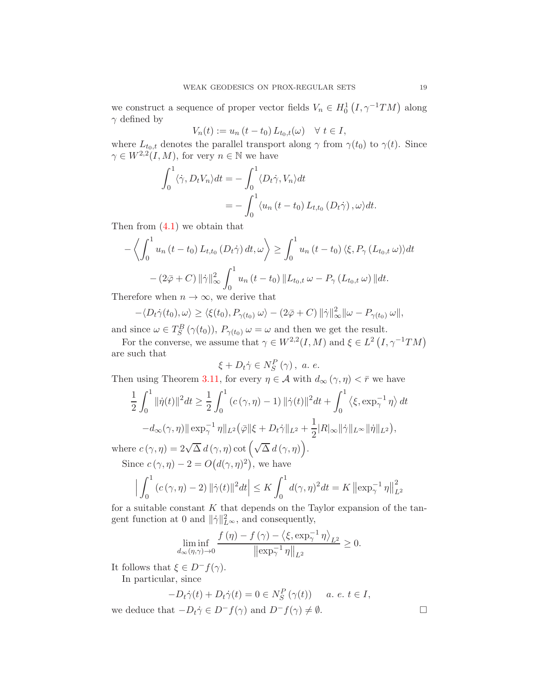we construct a sequence of proper vector fields  $V_n \in H_0^1(I, \gamma^{-1}TM)$  along  $\gamma$  defined by

$$
V_n(t) := u_n(t - t_0) L_{t_0, t}(\omega) \quad \forall \ t \in I,
$$

where  $L_{t_0,t}$  denotes the parallel transport along  $\gamma$  from  $\gamma(t_0)$  to  $\gamma(t)$ . Since  $\gamma \in W^{2,2}(I,M)$ , for very  $n \in \mathbb{N}$  we have

$$
\int_0^1 \langle \dot{\gamma}, D_t V_n \rangle dt = - \int_0^1 \langle D_t \dot{\gamma}, V_n \rangle dt
$$
  
= 
$$
- \int_0^1 \langle u_n (t - t_0) L_{t,t_0} (D_t \dot{\gamma}), \omega \rangle dt.
$$

Then from [\(4.1\)](#page-15-1) we obtain that

$$
-\left\langle \int_0^1 u_n(t - t_0) L_{t,t_0}(D_t \dot{\gamma}) dt, \omega \right\rangle \ge \int_0^1 u_n(t - t_0) \left\langle \xi, P_\gamma (L_{t_0,t} \omega) \right\rangle dt
$$

$$
-(2\bar{\varphi} + C) \left\| \dot{\gamma} \right\|_{\infty}^2 \int_0^1 u_n(t - t_0) \left\| L_{t_0,t} \omega - P_\gamma (L_{t_0,t} \omega) \right\| dt.
$$

Therefore when  $n \to \infty$ , we derive that

$$
-\langle D_t\dot{\gamma}(t_0), \omega \rangle \ge \langle \xi(t_0), P_{\gamma(t_0)} \omega \rangle - (2\bar{\varphi} + C) \|\dot{\gamma}\|_{\infty}^2 \|\omega - P_{\gamma(t_0)} \omega\|,
$$

and since  $\omega \in T_S^B(\gamma(t_0)), P_{\gamma(t_0)} \omega = \omega$  and then we get the result.

For the converse, we assume that  $\gamma \in W^{2,2}(I,M)$  and  $\xi \in L^2(I, \gamma^{-1}TM)$ are such that

$$
\xi + D_t \dot{\gamma} \in N_S^P(\gamma), \ a. e.
$$

Then using Theorem [3.11,](#page-14-0) for every  $\eta \in \mathcal{A}$  with  $d_{\infty}(\gamma, \eta) < \bar{r}$  we have

$$
\frac{1}{2} \int_0^1 \|\dot{\eta}(t)\|^2 dt \ge \frac{1}{2} \int_0^1 (c(\gamma, \eta) - 1) \|\dot{\gamma}(t)\|^2 dt + \int_0^1 \langle \xi, \exp^{-1}_{\gamma} \eta \rangle dt \n- d_{\infty}(\gamma, \eta) \|\exp^{-1}_{\gamma} \eta\|_{L^2} (\bar{\varphi}\|\xi + D_t \dot{\gamma}\|_{L^2} + \frac{1}{2} |R|_{\infty} \|\dot{\gamma}\|_{L^{\infty}} \|\dot{\eta}\|_{L^2}),
$$

where  $c(\gamma, \eta) = 2\sqrt{\Delta} d(\gamma, \eta) \cot(\sqrt{\Delta} d(\gamma, \eta)).$ Since  $c(\gamma, \eta) - 2 = O(d(\gamma, \eta)^2)$ , we have

$$
\Big| \int_0^1 (c(\gamma, \eta) - 2) \, \|\dot{\gamma}(t)\|^2 dt \Big| \le K \int_0^1 d(\gamma, \eta)^2 dt = K \left\| \exp_\gamma^{-1} \eta \right\|_{L^2}^2
$$

for a suitable constant  $K$  that depends on the Taylor expansion of the tangent function at 0 and  $\|\dot{\gamma}\|_{L^{\infty}}^2$ , and consequently,

$$
\liminf_{d_{\infty}(\eta,\gamma)\to 0} \frac{f(\eta)-f(\gamma)-\left\langle \xi,\exp_{\gamma}^{-1}\eta\right\rangle_{L^{2}}}{\left\|\exp_{\gamma}^{-1}\eta\right\|_{L^{2}}}\geq 0.
$$

It follows that  $\xi \in D^-f(\gamma)$ .

In particular, since

$$
-D_t \dot{\gamma}(t) + D_t \dot{\gamma}(t) = 0 \in N_S^P(\gamma(t)) \quad a. \ e. \ t \in I,
$$

we deduce that  $-D_t\dot{\gamma} \in D^-f(\gamma)$  and  $D^-f(\gamma) \neq \emptyset$ .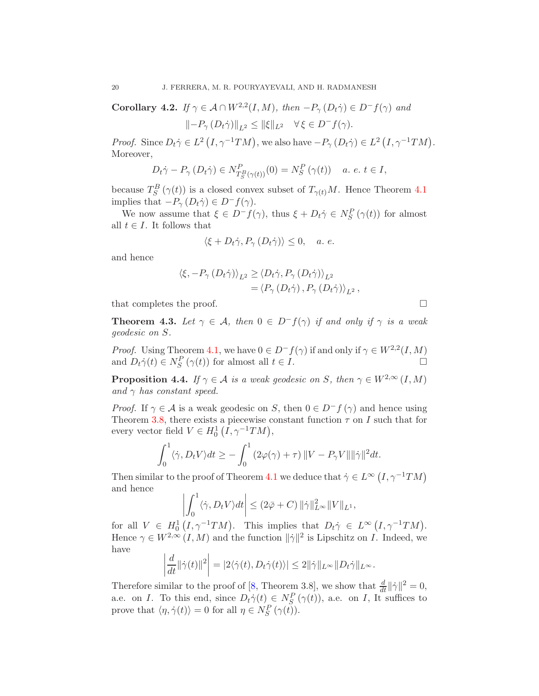**Corollary 4.2.** *If*  $\gamma \in \mathcal{A} \cap W^{2,2}(I,M)$ *, then*  $-P_{\gamma}(D_t \dot{\gamma}) \in D^-f(\gamma)$  *and* 

$$
\left\|-P_{\gamma}\left(D_{t}\dot{\gamma}\right)\right\|_{L^{2}} \leq \|\xi\|_{L^{2}} \quad \forall \,\xi\in D^{-}f(\gamma).
$$

*Proof.* Since  $D_t \dot{\gamma} \in L^2(I, \gamma^{-1}TM)$ , we also have  $-P_\gamma(D_t \dot{\gamma}) \in L^2(I, \gamma^{-1}TM)$ . Moreover,

$$
D_t \dot{\gamma} - P_\gamma \left( D_t \dot{\gamma} \right) \in N_{T_S^B(\gamma(t))}^P(0) = N_S^P \left( \gamma(t) \right) \quad a. \ e. \ t \in I,
$$

because  $T_S^B(\gamma(t))$  is a closed convex subset of  $T_{\gamma(t)}M$ . Hence Theorem [4.1](#page-15-2) implies that  $-P_{\gamma}(D_t\dot{\gamma}) \in D^-f(\gamma)$ .

We now assume that  $\xi \in D^-f(\gamma)$ , thus  $\xi + D_t\dot{\gamma} \in N_S^P(\gamma(t))$  for almost all  $t \in I$ . It follows that

$$
\langle \xi + D_t \dot{\gamma}, P_{\gamma} (D_t \dot{\gamma}) \rangle \leq 0, \quad a. e.
$$

and hence

$$
\langle \xi, -P_{\gamma} (D_t \dot{\gamma}) \rangle_{L^2} \ge \langle D_t \dot{\gamma}, P_{\gamma} (D_t \dot{\gamma}) \rangle_{L^2}
$$
  
=  $\langle P_{\gamma} (D_t \dot{\gamma}), P_{\gamma} (D_t \dot{\gamma}) \rangle_{L^2},$ 

that completes the proof.

**Theorem 4.3.** Let  $\gamma \in \mathcal{A}$ , then  $0 \in D^-f(\gamma)$  *if and only if*  $\gamma$  *is a weak geodesic on* S*.*

*Proof.* Using Theorem [4.1,](#page-15-2) we have  $0 \in D^- f(\gamma)$  if and only if  $\gamma \in W^{2,2}(I,M)$ and  $D_t \dot{\gamma}(t) \in N_S^P(\gamma(t))$  for almost all  $t \in I$ .

**Proposition 4.4.** *If*  $\gamma \in \mathcal{A}$  *is a weak geodesic on* S, *then*  $\gamma \in W^{2,\infty}(I,M)$ *and*  $\gamma$  *has constant speed.* 

*Proof.* If  $\gamma \in \mathcal{A}$  is a weak geodesic on S, then  $0 \in D^- f(\gamma)$  and hence using Theorem [3.8,](#page-11-0) there exists a piecewise constant function  $\tau$  on I such that for every vector field  $V \in H_0^1(I, \gamma^{-1}TM)$ ,

$$
\int_0^1 \langle \dot{\gamma}, D_t V \rangle dt \ge - \int_0^1 (2\varphi(\gamma) + \tau) ||V - P_{\gamma} V|| ||\dot{\gamma}||^2 dt.
$$

Then similar to the proof of Theorem [4.1](#page-15-2) we deduce that  $\dot{\gamma} \in L^{\infty}(I, \gamma^{-1}TM)$ and hence

$$
\left| \int_0^1 \langle \dot{\gamma}, D_t V \rangle dt \right| \leq (2\bar{\varphi} + C) \, \|\dot{\gamma}\|_{L^\infty}^2 \|V\|_{L^1},
$$

for all  $V \in H_0^1(I, \gamma^{-1}TM)$ . This implies that  $D_t \dot{\gamma} \in L^\infty(I, \gamma^{-1}TM)$ . Hence  $\gamma \in W^{2,\infty}(I,M)$  and the function  $\|\dot{\gamma}\|^2$  is Lipschitz on *I*. Indeed, we have

$$
\left| \frac{d}{dt} ||\dot{\gamma}(t)||^2 \right| = |2\langle \dot{\gamma}(t), D_t \dot{\gamma}(t) \rangle| \le 2 ||\dot{\gamma}||_{L^\infty} ||D_t \dot{\gamma}||_{L^\infty}.
$$

Therefore similar to the proof of [\[8,](#page-20-7) Theorem 3.8], we show that  $\frac{d}{dt} ||\dot{\gamma}||^2 = 0$ , a.e. on I. To this end, since  $D_t \dot{\gamma}(t) \in N_S^P(\gamma(t))$ , a.e. on I, It suffices to prove that  $\langle \eta, \dot{\gamma}(t) \rangle = 0$  for all  $\eta \in N_S^P(\gamma(t)).$ 

$$
\qquad \qquad \Box
$$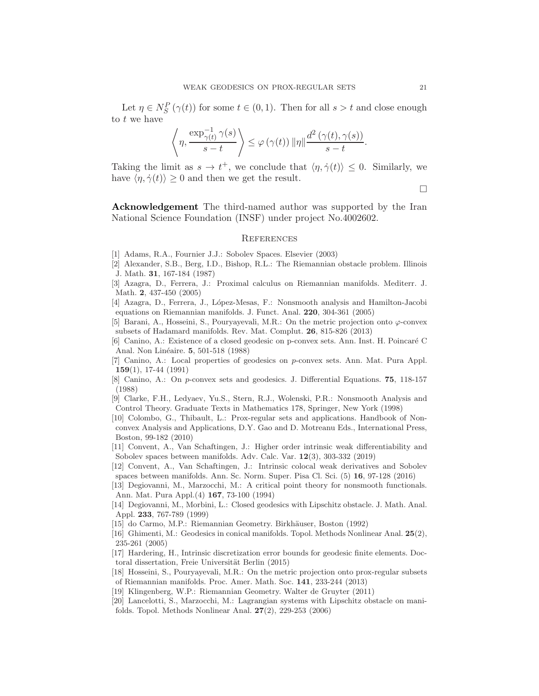Let  $\eta \in N_S^P(\gamma(t))$  for some  $t \in (0,1)$ . Then for all  $s > t$  and close enough to t we have

$$
\left\langle \eta, \frac{\exp_{\gamma(t)}^{-1} \gamma(s)}{s-t} \right\rangle \leq \varphi(\gamma(t)) \left\| \eta \right\| \frac{d^2(\gamma(t), \gamma(s))}{s-t}.
$$

Taking the limit as  $s \to t^+$ , we conclude that  $\langle \eta, \dot{\gamma}(t) \rangle \leq 0$ . Similarly, we have  $\langle \eta, \dot{\gamma}(t) \rangle \ge 0$  and then we get the result.

 $\Box$ 

Acknowledgement The third-named author was supported by the Iran National Science Foundation (INSF) under project No.4002602.

#### **REFERENCES**

- <span id="page-20-14"></span><span id="page-20-0"></span>[1] Adams, R.A., Fournier J.J.: Sobolev Spaces. Elsevier (2003)
- [2] Alexander, S.B., Berg, I.D., Bishop, R.L.: The Riemannian obstacle problem. Illinois J. Math. 31, 167-184 (1987)
- <span id="page-20-11"></span>[3] Azagra, D., Ferrera, J.: Proximal calculus on Riemannian manifolds. Mediterr. J. Math. 2, 437-450 (2005)
- <span id="page-20-12"></span><span id="page-20-9"></span>[4] Azagra, D., Ferrera, J., L´opez-Mesas, F.: Nonsmooth analysis and Hamilton-Jacobi equations on Riemannian manifolds. J. Funct. Anal. 220, 304-361 (2005)
- [5] Barani, A., Hosseini, S., Pouryayevali, M.R.: On the metric projection onto  $\varphi$ -convex subsets of Hadamard manifolds. Rev. Mat. Complut. 26, 815-826 (2013)
- <span id="page-20-5"></span>[6] Canino, A.: Existence of a closed geodesic on p-convex sets. Ann. Inst. H. Poincaré C Anal. Non Linéaire. **5**, 501-518 (1988)
- <span id="page-20-6"></span>[7] Canino, A.: Local properties of geodesics on p-convex sets. Ann. Mat. Pura Appl. 159(1), 17-44 (1991)
- <span id="page-20-7"></span>[8] Canino, A.: On p-convex sets and geodesics. J. Differential Equations. 75, 118-157 (1988)
- [9] Clarke, F.H., Ledyaev, Yu.S., Stern, R.J., Wolenski, P.R.: Nonsmooth Analysis and Control Theory. Graduate Texts in Mathematics 178, Springer, New York (1998)
- <span id="page-20-8"></span>[10] Colombo, G., Thibault, L.: Prox-regular sets and applications. Handbook of Nonconvex Analysis and Applications, D.Y. Gao and D. Motreanu Eds., International Press, Boston, 99-182 (2010)
- <span id="page-20-15"></span>[11] Convent, A., Van Schaftingen, J.: Higher order intrinsic weak differentiability and Sobolev spaces between manifolds. Adv. Calc. Var. 12(3), 303-332 (2019)
- <span id="page-20-16"></span>[12] Convent, A., Van Schaftingen, J.: Intrinsic colocal weak derivatives and Sobolev spaces between manifolds. Ann. Sc. Norm. Super. Pisa Cl. Sci. (5) 16, 97-128 (2016)
- <span id="page-20-3"></span>[13] Degiovanni, M., Marzocchi, M.: A critical point theory for nonsmooth functionals. Ann. Mat. Pura Appl.(4) 167, 73-100 (1994)
- <span id="page-20-2"></span>[14] Degiovanni, M., Morbini, L.: Closed geodesics with Lipschitz obstacle. J. Math. Anal. Appl. 233, 767-789 (1999)
- <span id="page-20-1"></span>[15] do Carmo, M.P.: Riemannian Geometry. Birkhäuser, Boston (1992)
- [16] Ghimenti, M.: Geodesics in conical manifolds. Topol. Methods Nonlinear Anal. 25(2), 235-261 (2005)
- <span id="page-20-17"></span>[17] Hardering, H., Intrinsic discretization error bounds for geodesic finite elements. Doctoral dissertation, Freie Universität Berlin (2015)
- <span id="page-20-10"></span>[18] Hosseini, S., Pouryayevali, M.R.: On the metric projection onto prox-regular subsets of Riemannian manifolds. Proc. Amer. Math. Soc. 141, 233-244 (2013)
- <span id="page-20-13"></span>[19] Klingenberg, W.P.: Riemannian Geometry. Walter de Gruyter (2011)
- <span id="page-20-4"></span>[20] Lancelotti, S., Marzocchi, M.: Lagrangian systems with Lipschitz obstacle on mani-
- folds. Topol. Methods Nonlinear Anal. 27(2), 229-253 (2006)